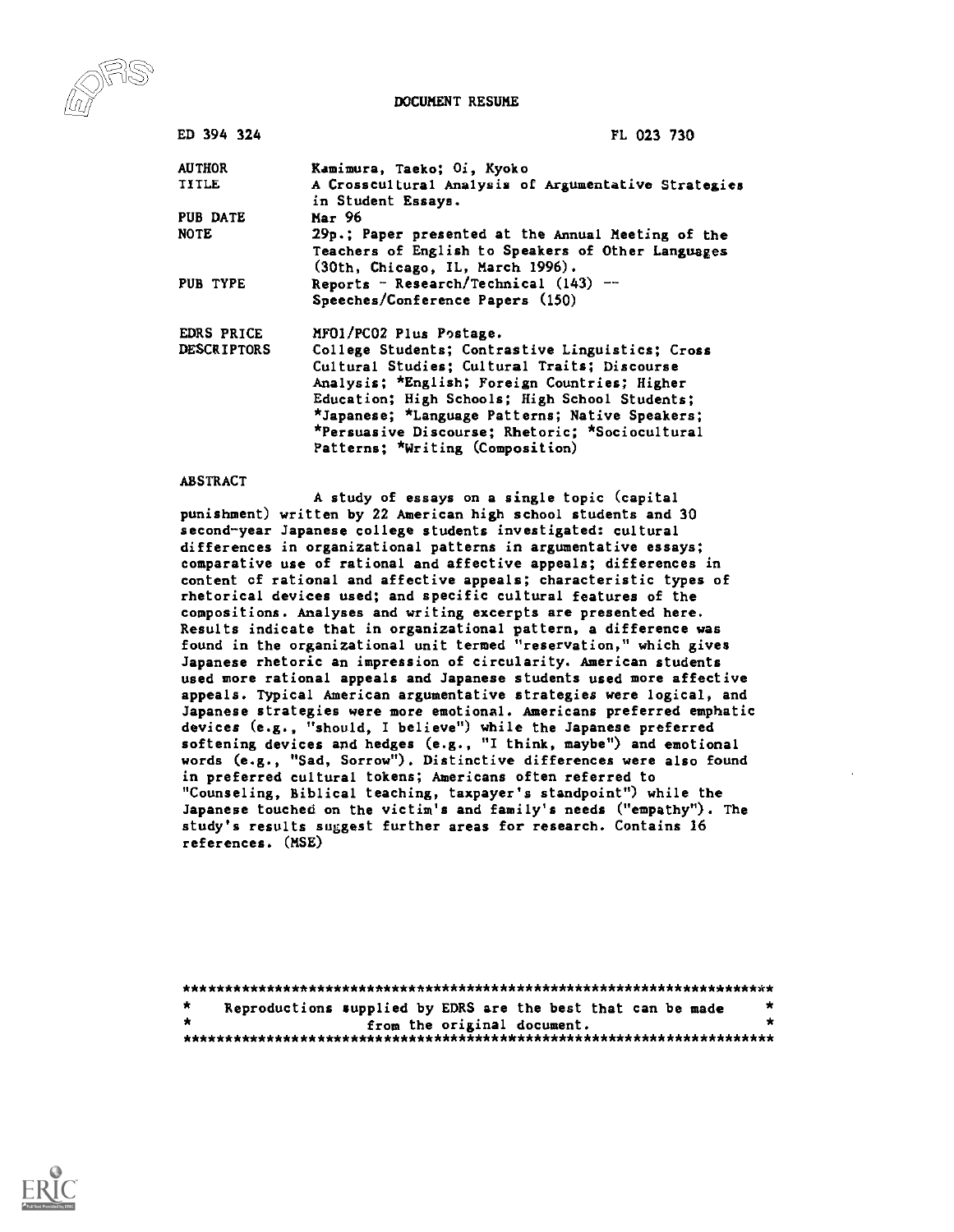DOCUMENT RESUME



| ED 394 324         | FL 023 730                                                                             |
|--------------------|----------------------------------------------------------------------------------------|
| <b>AUTHOR</b>      | Kamimura, Taeko; Oi, Kyoko                                                             |
| TITLE              | A Crosscultural Analysis of Argumentative Strategies<br>in Student Essays.             |
| PUB DATE           | Маг 96                                                                                 |
| <b>NOTE</b>        | 29p.; Paper presented at the Annual Meeting of the                                     |
|                    | Teachers of English to Speakers of Other Languages<br>(30th, Chicago, IL, March 1996). |
| PUB TYPE           | Reports - Research/Technical $(143)$ --<br>Speeches/Conference Papers (150)            |
| EDRS PRICE         | MF01/PC02 Plus Postage.                                                                |
| <b>DESCRIPTORS</b> | College Students; Contrastive Linguistics; Cross                                       |
|                    | Cultural Studies; Cultural Traits; Discourse                                           |
|                    | Analysis; *English; Foreign Countries; Higher                                          |
|                    | Education; High Schools; High School Students;                                         |
|                    | *Japanese; *Language Patterns; Native Speakers;                                        |
|                    | *Persuasive Discourse; Rhetoric; *Sociocultural                                        |
|                    | Patterns; *Writing (Composition)                                                       |

#### ABSTRACT

A study of essays on a single topic (capital punishment) written by 22 American high school students and 30 second-year Japanese college students investigated: cultural differences in organizational patterns in argumentative essays; comparative use of rational and affective appeals; differences in content cf rational and affective appeals; characteristic types of rhetorical devices used; and specific cultural features of the compositions. Analyses and writing excerpts are presented here. Results indicate that in organizational pattern, a difference was found in the organizational unit termed "reservation," which gives Japanese rhetoric an impression of circularity. American students used more rational appeals and Japanese students used more affective appeals. Typical American argumentative strategies were logical, and Japanese strategies were more emotional. Americans preferred emphatic devices (e.g., "should, I believe") while the Japanese preferred softening devices and hedges (e.g., "I think, maybe") and emotional words (e.g., "Sad, Sorrow"). Distinctive differences were also found in preferred cultural tokens; Americans often referred to "Counseling, Biblical teaching, taxpayer's standpoint") while the Japanese touched on the victim's and family's needs ("empathy"). The study's results suggest further areas for research. Contains 16 references. (MSE)

| $\mathbf{z}$ |  | Reproductions supplied by EDRS are the best that can be made | * |
|--------------|--|--------------------------------------------------------------|---|
|              |  | from the original document.                                  |   |
|              |  |                                                              |   |

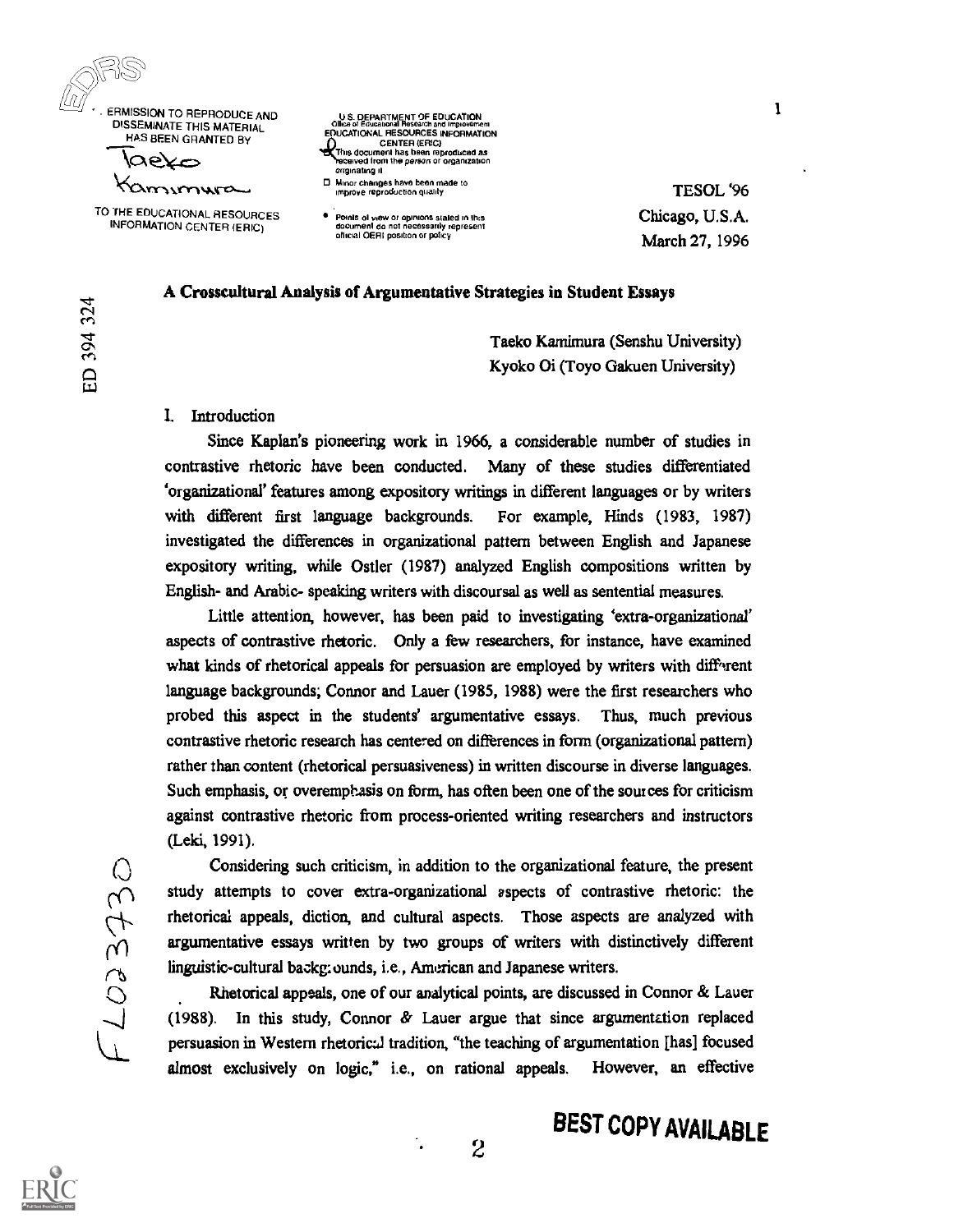

 $\omega$  and  $\omega$ 

 $\mathfrak{B}$ enenenen

1.1.7

DISSEMINATE THIS MATERIAL HAS BEEN GRANTED BY

 $\beta$ lae $\times$ Kamimura

TO THE EDUCATIONAL RESOURCES INFORMATION CENTER (ERIC)

## OP SUSPEARING IN SAFERARITEN<br>CONSECTIONAL RESOURCES INFORMATION CENTER (ERG) This document has been reproduced as calved from the person or organization originating it

O Minor changes have been made to improve reproduction quality

Points of view or opinions stated in this<br>document do not necessarily represent<br>official OERI position or policy

TESOL '96 Chicago, U.S.A. March 27, 1996  $\mathbf{I}$ 

## A Crosscultural Analysis of Argumentative Strategies in Student Essays

Taeko Kamimura (Senshu University) Kyoko Oi (Toyo Gakuen University)

#### I. Introduction

Since Kaplan's pioneering work in 1966, a considerable number of studies in contrastive rhetoric have been conducted. Many of these studies differentiated 'organizational' features among expository writings in different languages or by writers with different first language backgrounds. For example, Hinds (1983, 1987) investigated the differences in organizational pattern between English and Japanese expository writing, while Ostler (1987) analyzed English compositions written by English- and Arabic- speaking writers with discoursal as well as sentential measures.

Little attention, however, has been paid to investigating 'extra-organizational' aspects of contrastive rhetoric. Only a few researchers, for instance, have examined what kinds of rhetorical appeals for persuasion are employed by writers with diff<sup>3</sup>rent language backgrounds; Connor and Lauer (1985, 1988) were the first researchers who probed this aspect in the students' argumentative essays. Thus, much previous contrastive rhetoric research has centered on differences in form (organizational pattern) rather than content (rhetorical persuasiveness) in written discourse in diverse languages. Such emphasis, or overemphasis on form, has often been one of the sources for criticism against contrastive rhetoric from process-oriented writing researchers and instructors (Leki, 1991).

Considering such criticism, in addition to the organizational feature, the present<br>study attempts to cover extra-organizational aspects of contrastive rhetoric: the<br>rhetorical appeals, diction, and cultural aspects. Those study attempts to cover extra-organizational aspects of contrastive rhetoric: the rhetorical appeals, diction, and cultural aspects. Those aspects are analyzed with argumentative essays written by two groups of writers with distinctively different linguistic-cultural backgrounds, i.e., American and Japanese writers.

Rhetorical appeals, one of our analytical points, are discussed in Connor & Lauer (1988). In this study, Connor & Lauer argue that since argumentation replaced persuasion in Western rhetoric:.] tradition, "the teaching of argumentation [has] focused almost exclusively on logic," i.e., on rational appeals. However, an effective

# BEST COPY AVAILABLE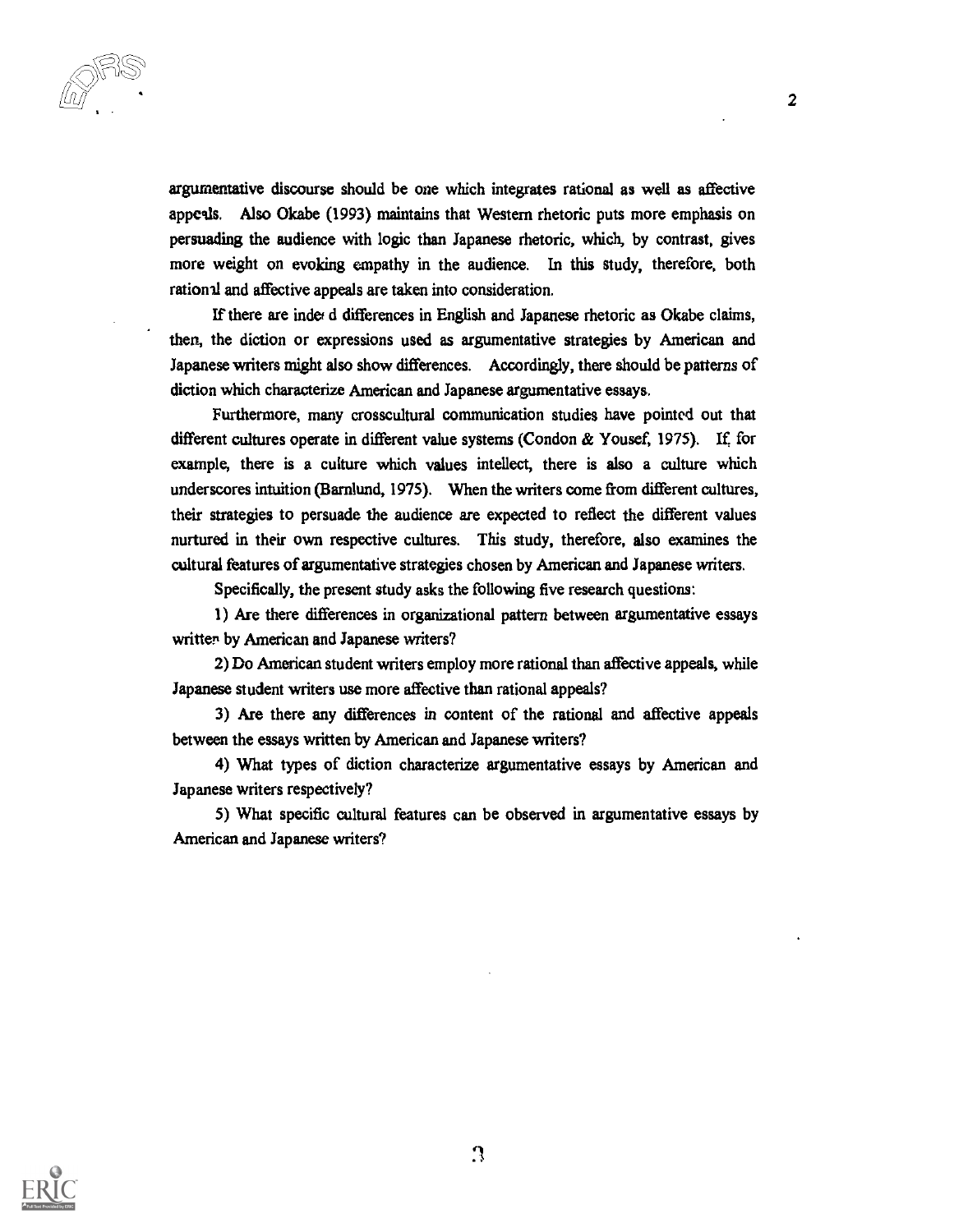$\frac{1}{2}$  2

argumentative discourse should be one which integrates rational as well as affective appeals. Also Okabe (1993) maintains that Western rhetoric puts more emphasis on persuading the audience with logic than Japanese rhetoric, which, by contrast, gives more weight on evoking empathy in the audience. In this study, therefore, both rational and affective appeals are taken into consideration.

If there are index d differences in English and Japanese rhetoric as Okabe claims, then, the diction or expressions used as argumentative strategies by American and Japanese writers might also show differences. Accordingly, there should be patterns of diction which characterize American and Japanese argumentative essays.

Furthermore, many crosscultural communication studies have pointed out that different cultures operate in different value systems (Condon & Yousef, 1975). If for example, there is a culture which values intellect, there is also a culture which underscores intuition (Bamlund, 1975). When the writers come from different cultures, their strategies to persuade the audience are expected to reflect the different values nurtured in their own respective cultures. This study, therefore, also examines the cultural features of argumentative strategies chosen by American and Japanese writers.

Specifically, the present study asks the following five research questions:

1) Are there differences in organizational pattern between argumentative essays written by American and Japanese writers?

2) Do American student writers employ more rational than affective appeals, while Japanese student writers use more affective than rational appeals?

3) Are there any differences in content of the rational and affective appeals between the essays written by American and Japanese writers?

4) What types of diction characterize argumentative essays by American and Japanese writers respectively?

5) What specific cultural features can be observed in argumentative essays by American and Japanese writers?

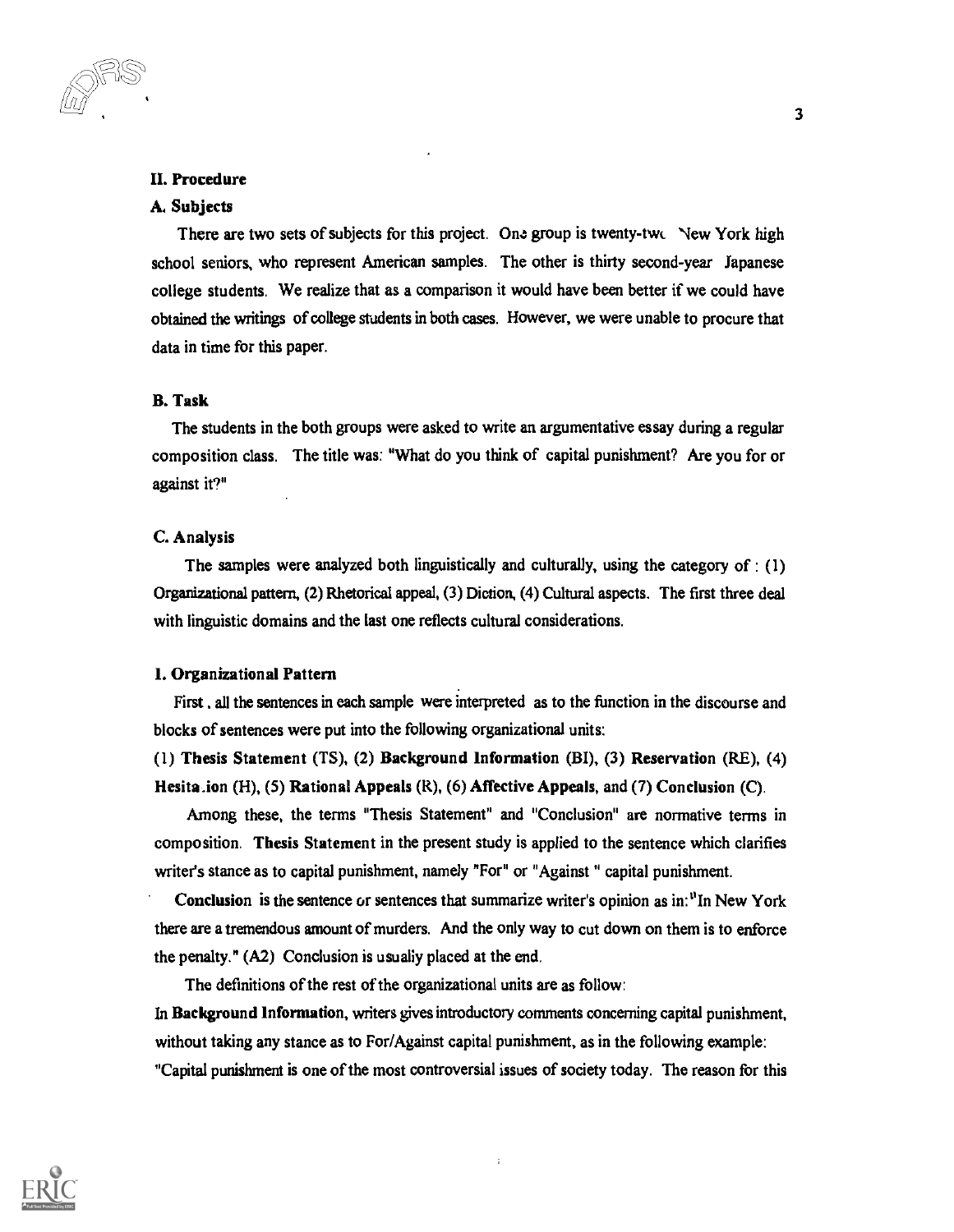#### H. Procedure

#### A. Subjects

There are two sets of subjects for this project. One group is twenty-two New York high school seniors, who represent American samples. The other is thirty second-year Japanese college students. We realize that as a comparison it would have been better if we could have obtained the writings of college students in both cases. However, we were unable to procure that data in time for this paper.

## B. Task

The students in the both groups were asked to write an argumentative essay during a regular composition class. The title was: "What do you think of capital punishment? Are you for or against it?"

#### C. Analysis

The samples were analyzed both linguistically and culturally, using the category of : (1) Organizational pattern, (2) Rhetorical appeal, (3) Diction, (4) Cultural aspects. The first three deal with linguistic domains and the last one reflects cultural considerations.

#### 1. Organizational Pattern

First , all the sentences in each sample were interpreted as to the function in the discourse and blocks of sentences were put into the following organizational units:

(1) Thesis Statement (TS), (2) Background Information (BI), (3) Reservation (RE), (4) Hesita .ion (H), (5) Rational Appeals (R), (6) Affective Appeals, and (7) Conclusion (C).

Among these, the terms "Thesis Statement" and "Conclusion" are normative terms in composition. Thesis Statement in the present study is applied to the sentence which clarifies writer's stance as to capital punishment, namely "For" or "Against " capital punishment.

Conclusion is the sentence or sentences that summarize writer's opinion as in:  $"In New York$ there are a tremendous amount of murders. And the only way to cut down on them is to enforce the penalty." (A2) Conclusion is usually placed at the end.

The definitions of the rest of the organizational units are as follow:

In Background Information, writers gives introductory comments concerning capital punishment, without taking any stance as to For/Against capital punishment, as in the following example: "Capital punishment is one of the most controversial issues of society today. The reason for this

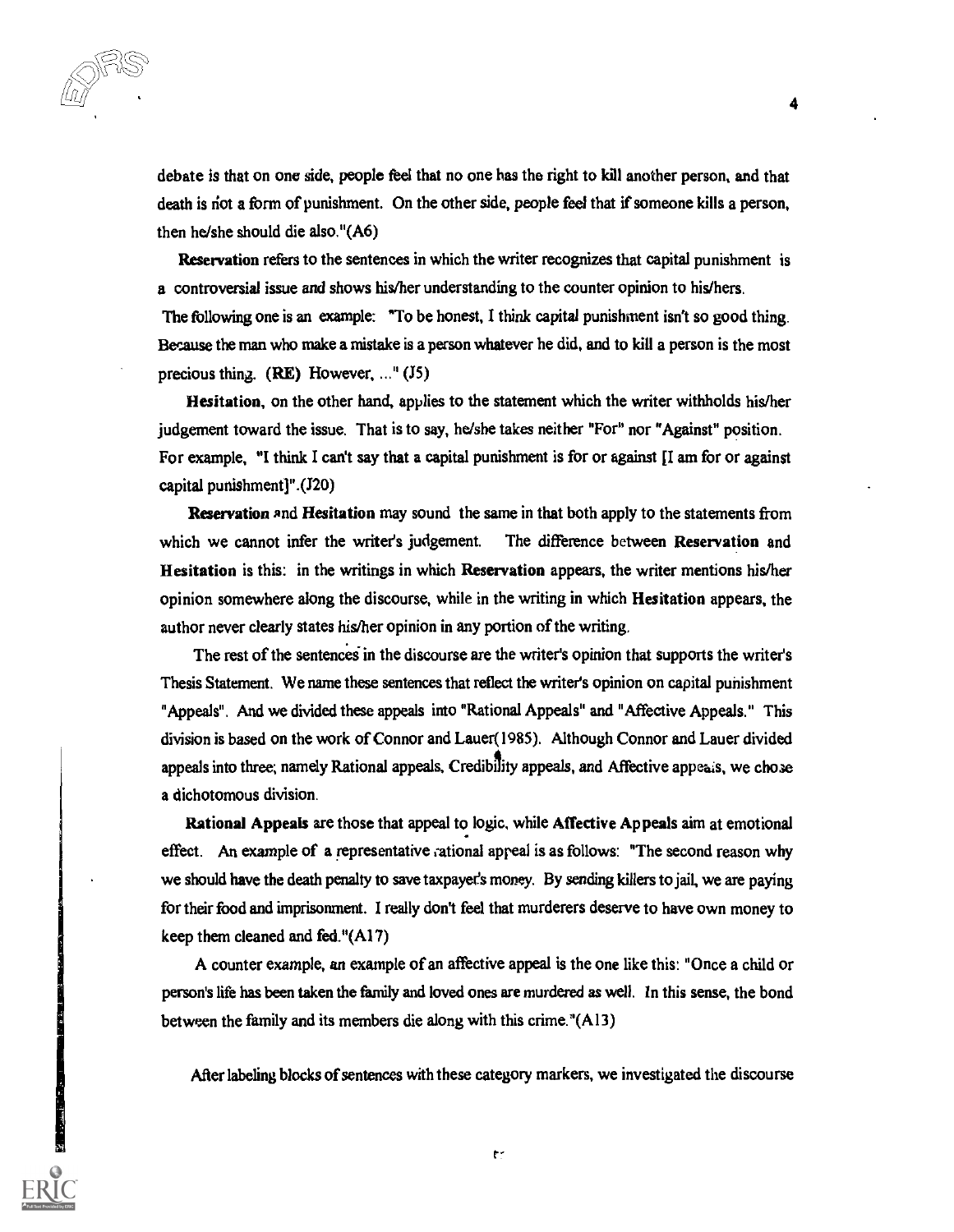debate is that on one side, people feel that no one has the right to kill another person, and that death is not a form of punishment. On the other side, people feel that if someone kills a person, then he/she should die also."(A6)

Reservation refers to the sentences in which the writer recognizes that capital punishment is a controversial issue and shows his/her understanding to the counter opinion to his/hers. The following one is an example: "To be honest, I think capital punishment isn't so good thing. Because the man who make a mistake is a person whatever he did, and to kill a person is the most precious thing. (RE) However, ..." (J5)

Hesitation, on the other hand, applies to the statement which the writer withholds his/her judgement toward the issue. That is to say, he/she takes neither "For" nor "Against" position. For example, "I think I can't say that a capital punishment is for or against  $\prod$  am for or against capital punishment] ".(J20)

Reservation and Hesitation may sound the same in that both apply to the statements from which we cannot infer the writer's judgement. The difference between Reservation and Hesitation is this: in the writings in which Reservation appears, the writer mentions his/her opinion somewhere along the discourse, while in the writing in which Hesitation appears, the author never clearly states his/her opinion in any portion of the writing.

The rest of the sentences in the discourse are the writer's opinion that supports the writer's Thesis Statement. We name these sentences that reflect the writer's opinion on capital punishment "Appeals". And we divided these appeals into "Rational Appeals" and "Affective Appeals." This division is based on the work of Connor and Lauer(1985). Although Connor and Lauer divided appeals into three; namely Rational appeals, Credibility appeals, and Affective appeals, we chose a dichotomous division.

Rational Appeals are those that appeal to logic, while Affective Appeals aim at emotional effect. An example of a representative rational appeal is as follows: "The second reason why we should have the death penalty to save taxpayer's money. By sending killers to jail, we are paying for their food and imprisonment. I really don't feel that murderers deserve to have own money to keep them cleaned and fed."(Al 7)

A counter example, an example of an affective appeal is the one like this: "Once a child or person's life has been taken the family and loved ones are murdered as well. In this sense, the bond between the family and its members die along with this crime."(A13)

After labeling blocks of sentences with these category markers, we investigated the discourse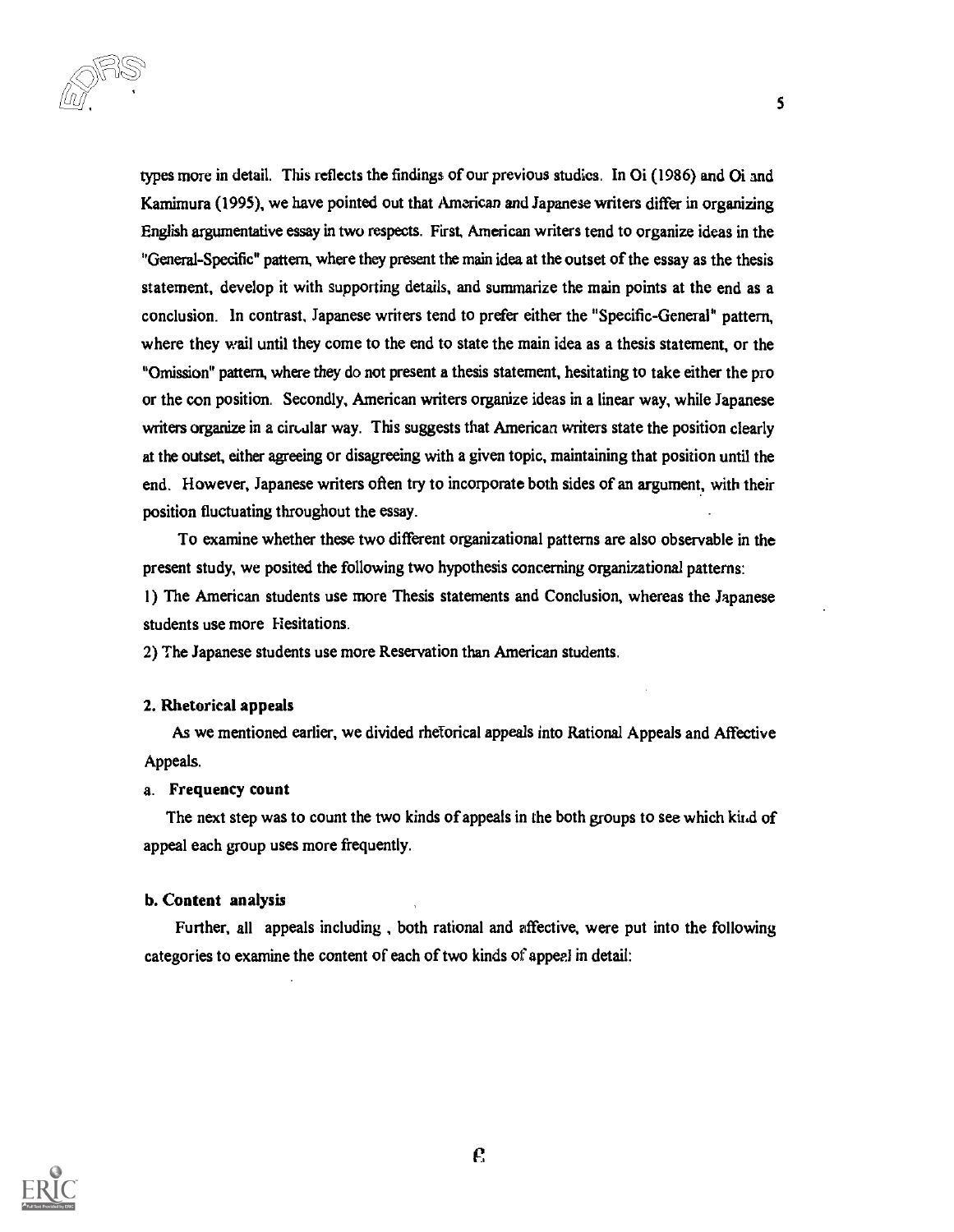$\Box$  $\odot$   $\Box$ LI L/

types more in detail. This reflects the findings of our previous studies. In 01 (1986) and Oi and Kamimura (1995), we have pointed out that American and Japanese writers differ in organizing English argumentative essay in two respects. First, American writers tend to organize ideas in the "General-Specific" pattern, where they present the main idea at the outset of the essay as the thesis statement, develop it with supporting details, and summarize the main points at the end as a conclusion. In contrast, Japanese writers tend to prefer either the "Specific-General" pattern, where they wail until they come to the end to state the main idea as a thesis statement, or the "Omission" pattern, where they do not present a thesis statement, hesitating to take either the pro or the con position. Secondly, American writers organize ideas in a linear way, while Japanese writers organize in a circular way. This suggests that American writers state the position clearly at the outset, either agreeing or disagreeing with a given topic, maintaining that position until the end. However, Japanese writers often try to incorporate both sides of an argument, with their position fluctuating throughout the essay.

5

To examine whether these two different organizational patterns are also observable in the present study, we posited the following two hypothesis concerning organizational patterns: I) The American students use more Thesis statements and Conclusion, whereas the Japanese students use more Hesitations.

2) The Japanese students use more Reservation than American students.

#### 2. Rhetorical appeals

As we mentioned earlier, we divided rhetorical appeals into Rational Appeals and Affective Appeals.

#### a. Frequency count

The next step was to count the two kinds of appeals in the both groups to see which kir.d of appeal each group uses more frequently.

#### b. Content analysis

Further, all appeals including , both rational and effective, were put into the following categories to examine the content of each of two kinds of appeal in detail:

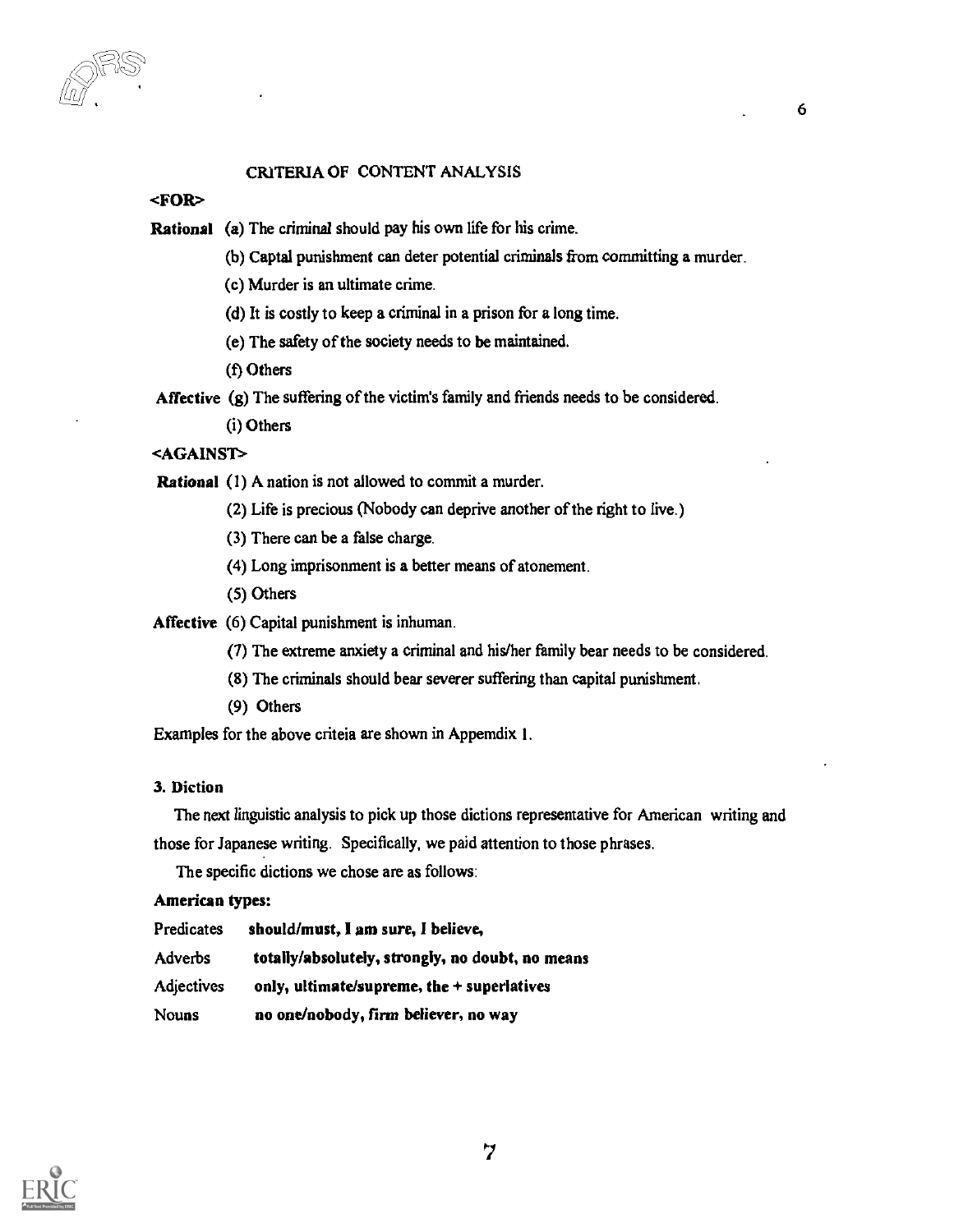## CRITERIA OF CONTENT ANALYSIS

#### <FOR>

- Rational (a) The criminal should pay his own life for his crime.
	- (b) Captal punishment can deter potential criminals from committing a murder.
	- (c) Murder is an ultimate crime.
	- (d) It is costly to keep a criminal in a prison for a long time.
	- (e) The safety of the society needs to be maintained.
	- (t) Others

Affective (g) The suffering of the victim's family and friends needs to be considered.

(i) Others

## <AGAINST>

Rational (1) A nation is not allowed to commit a murder.

- (2) Life is precious (Nobody can deprive another of the right to live.)
- (3) There can be a false charge.
- (4) Long imprisonment is a better means of atonement.
- (5) Others

Affective (6) Capital punishment is inhuman.

- (7) The extreme anxiety a criminal and his/her family bear needs to be considered.
- (8) The criminals should bear severer suffering than capital punishment.
- (9) Others

Examples for the above criteia are shown in Appemdix I.

#### 3. Diction

The next linguistic analysis to pick up those dictions representative for American writing and those for Japanese writing. Specifically, we paid attention to those phrases.

The specific dictions we chose are as follows:

#### American types:

| Predicates        | should/must, I am sure, I believe,               |
|-------------------|--------------------------------------------------|
| Adverbs           | totally/absolutely, strongly, no doubt, no means |
| <b>Adjectives</b> | only, ultimate/supreme, the $+$ superlatives     |
| Nouns             | no one/nobody, firm believer, no way             |

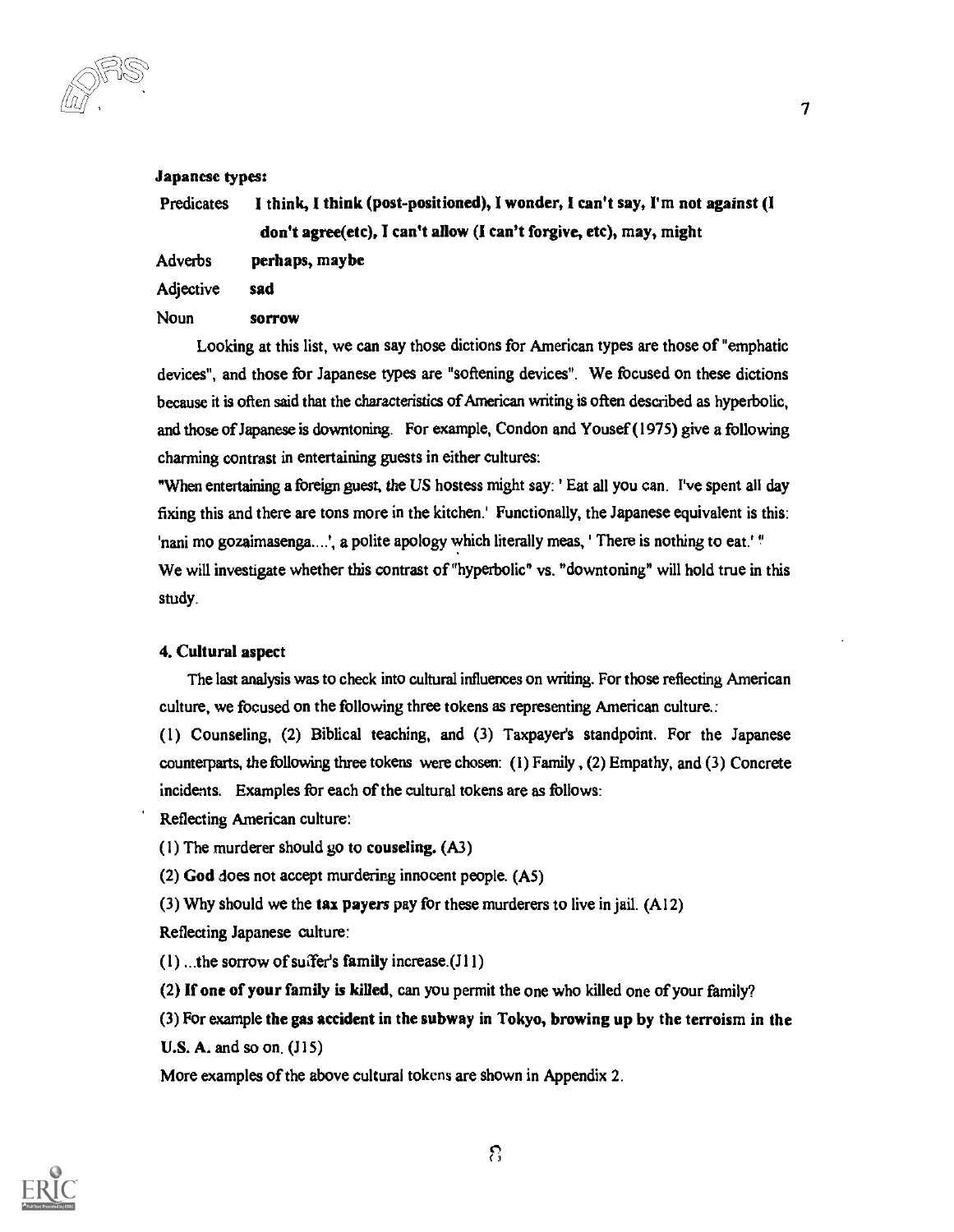-ur

#### Japanese types:

Predicates I think, I think (post-positioned), I wonder, I can't say, I'm not against (I don't agree(etc), I can't allow (I can't forgive, etc), may, might

Adverbs perhaps, maybe

Adjective sad

Noun sorrow

Looking at this list, we can say those dictions for American types are those of "emphatic devices", and those for Japanese types are "softening devices". We focused on these dictions because it is often said that the characteristics of American writing is often described as hyperbolic, and those of Japanese is downtoning. For example, Condon and Yousef (1975) give a following charming contrast in entertaining guests in either cultures:

"When entertaining a foreign guest, the US hostess might say: ' Eat all you can. I've spent all day fixing this and there are tons more in the kitchen.' Functionally, the Japanese equivalent is this: 'nani mo gozaimasenga....', a polite apology which literally meas, ' There is nothing to eat.' " We will investigate whether this contrast of "hyperbolic" vs. "downtoning" will hold true in this study.

## 4. Cultural aspect

The last analysis was to check into cultural influences on wilting. For those reflecting American culture, we focused on the following three tokens as representing American culture.:

(1) Counseling, (2) Biblical teaching, and (3) Taxpayer's standpoint. For the Japanese counterparts, the following three tokens were chosen: (I) Family , (2) Empathy, and (3) Concrete incidents. Examples for each of the cultural tokens are as follows:

Reflecting American culture:

(1) The murderer should go to couseling. (A3)

(2) God does not accept murdering innocent people. (A5)

(3) Why should we the tax payers pay for these murderers to live in jail. (Al2)

Reflecting Japanese culture:

 $(1)$ ...the sorrow of suffer's family increase. $(J11)$ 

(2) if one of your family is killed, can you permit the one who killed one of your family?

(3) For example the gas accident in the subway in Tokyo, browing up by the terroism in the  $U.S. A.$  and so on.  $(J15)$ 

More examples of the above cultural tokens are shown in Appendix 2.

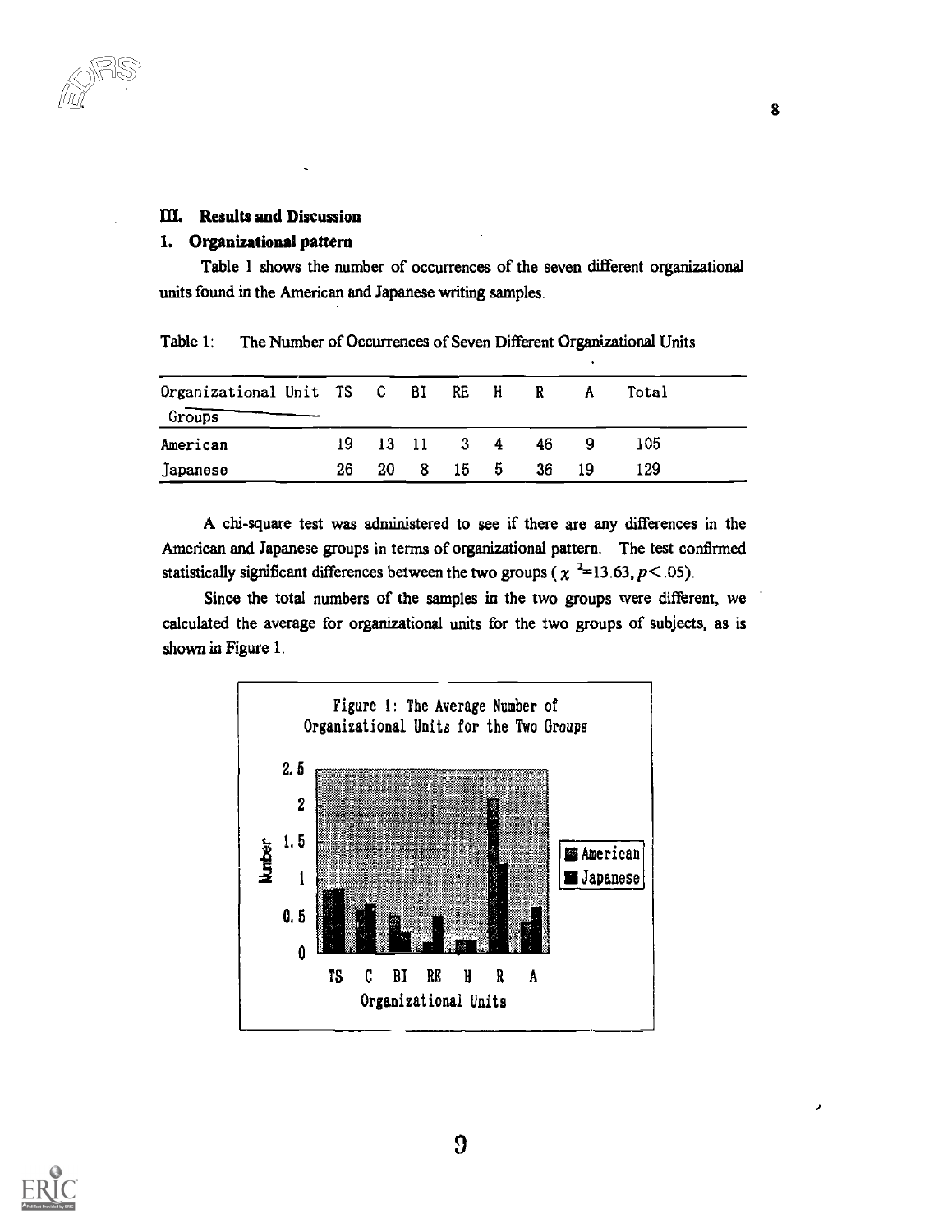## 111. Results and Discussion

## 1. Organizational pattern

Table 1 shows the number of occurrences of the seven different organizational units found in the American and Japanese writing samples.

| Organizational Unit TS C BI RE H<br>Groups |      |      |       |        |             | R  | A  | Total |
|--------------------------------------------|------|------|-------|--------|-------------|----|----|-------|
| American                                   | 19 - |      | 13 11 |        | $3 \quad 4$ | 46 | 9  | 105   |
| Japanese                                   | 26   | 20 I |       | 8 15 5 |             | 36 | 19 | 129   |

Table 1: The Number of Occurrences of Seven Different Organizational Units

A chi-square test was administered to see if there are any differences in the American and Japanese groups in terms of organizational pattern. The test confirmed statistically significant differences between the two groups ( $\chi$ <sup>2</sup>=13.63, *p*<.05).

Since the total numbers of the samples in the two groups were different, we calculated the average for organizational units for the two groups of subjects, as is shown in Figure 1.



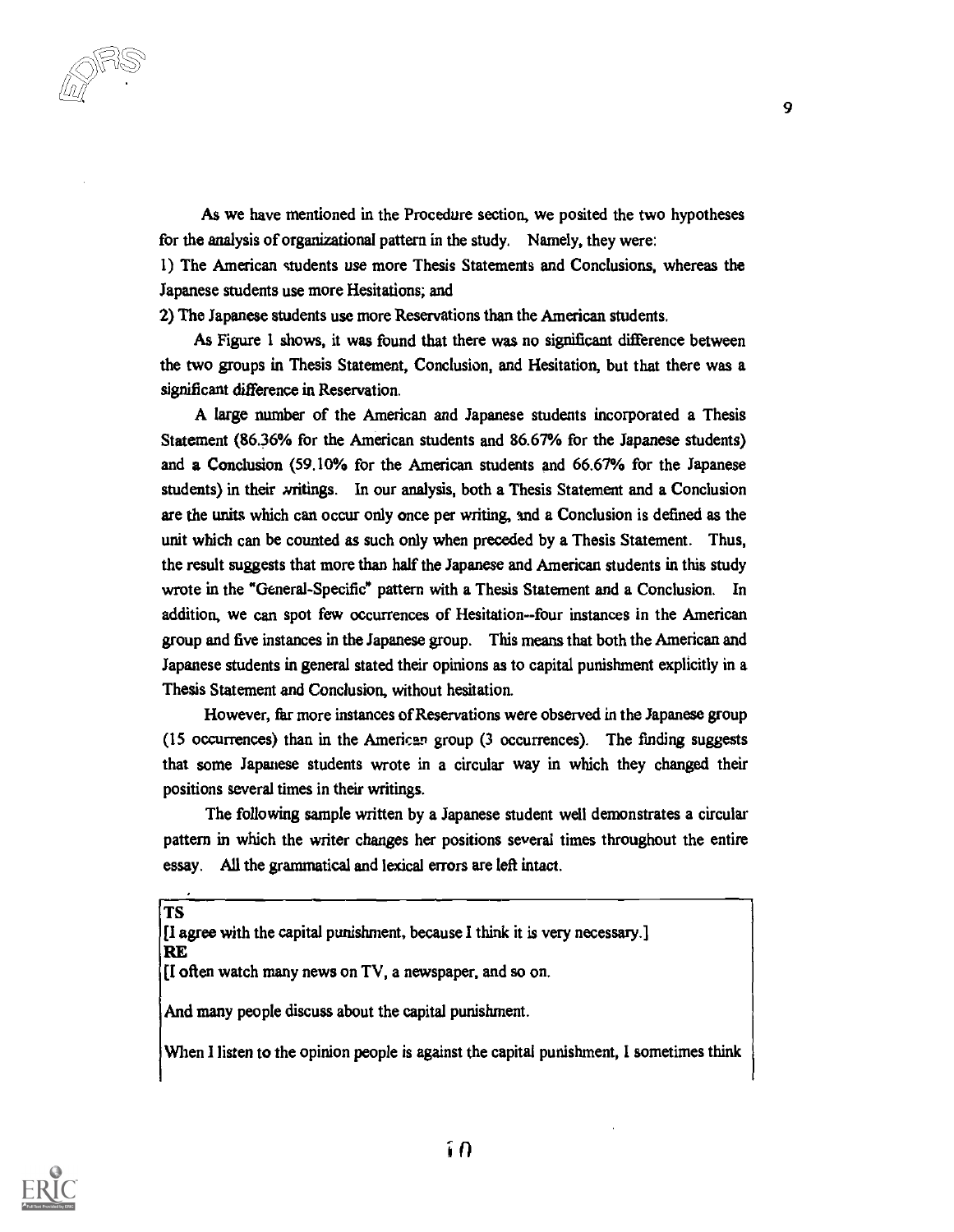As we have mentioned in the Procedure section, we posited the two hypotheses for the analysis of organizational pattern in the study. Namely, they were:

1) The American students use more Thesis Statements and Conclusions, whereas the Japanese students use more Hesitations; and

2) The Japanese students use more Reservations than the American students.

As Figure 1 shows, it was found that there was no significant difference between the two groups in Thesis Statement, Conclusion, and Hesitation, but that there was a significant difference in Reservation.

A large number of the American and Japanese students incorporated a Thesis Statement (86.36% for the American students and 86.67% for the Japanese students) and a Conclusion (59.10% for the American students and 66.67% for the Japanese students) in their xritings. In our analysis, both a Thesis Statement and a Conclusion are the units which can occur only once per writing, and a Conclusion is defined as the unit which can be counted as such only when preceded by a Thesis Statement. Thus, the result suggests that more than half the Japanese and American students in this study wrote in the "General-Specific" pattern with a Thesis Statement and a Conclusion. In addition, we can spot few occurrences of Hesitation--four instances in the American group and five instances in the Japanese group. This means that both the American and Japanese students in general stated their opinions as to capital punishment explicitly in a Thesis Statement and Conclusion, without hesitation.

However, far more instances of Reservations were observed in the Japanese group (15 occurrences) than in the American group (3 occurrences). The finding suggests that some Japanese students wrote in a circular way in which they changed their positions several times in their writings.

The following sample written by a Japanese student well demonstrates a circular pattern in which the writer changes her positions several times throughout the entire essay. All the grammatical and lexical errors are left intact.

TS

| [I agree with the capital punishment, because I think it is very necessary.] |  |  |
|------------------------------------------------------------------------------|--|--|
| RE                                                                           |  |  |

[I often watch many news on TV, a newspaper, and so on.

And many people discuss about the capital punishment.

When I listen to the opinion people is against the capital punishment, I sometimes think

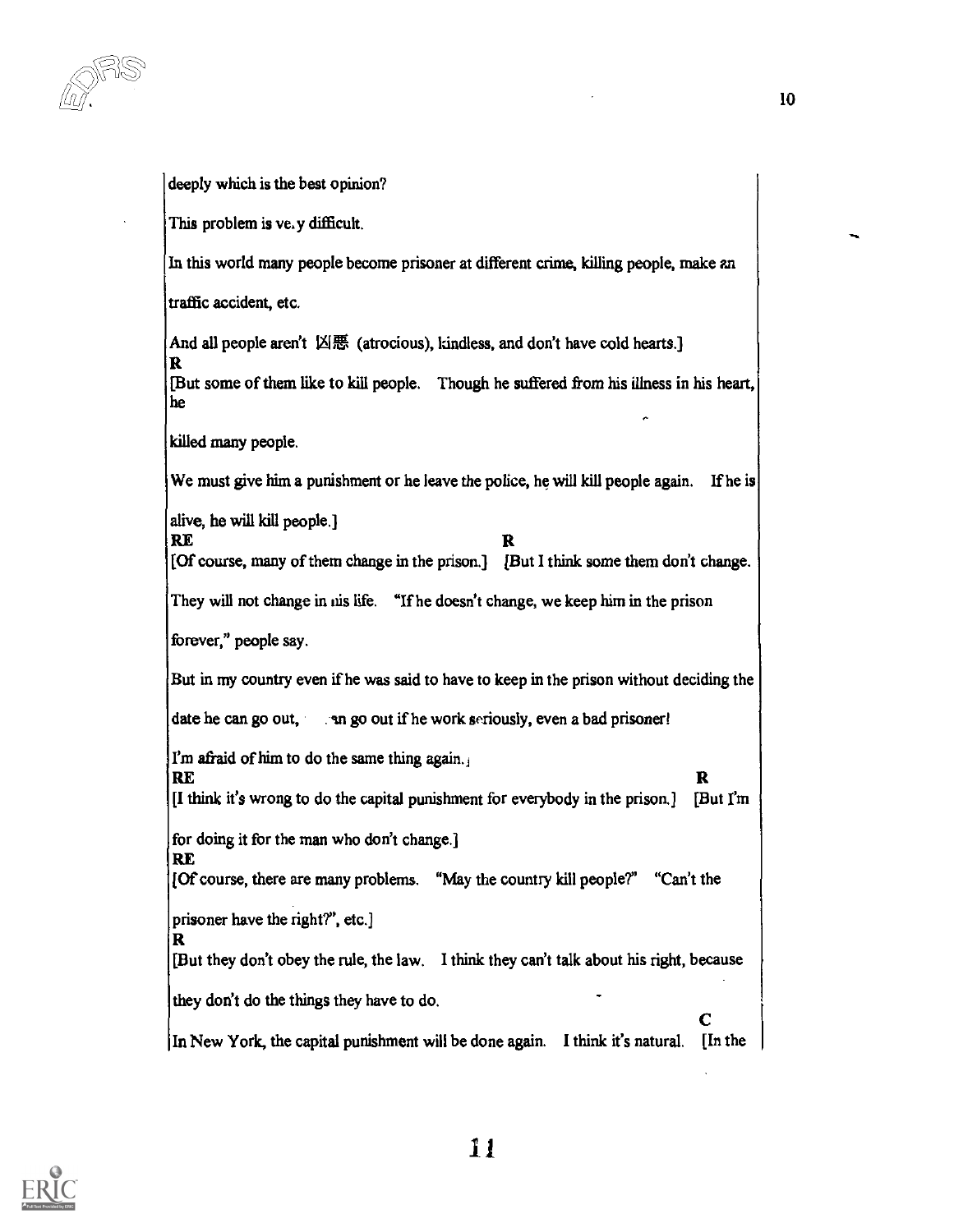deeply which is the best opinion?

This problem is ve. y difficult.

In this world many people become prisoner at different crime, killing people, make an

traffic accident, etc.

And all people aren't  $\Box \boxplus$  (atrocious), kindless, and don't have cold hearts.]

[But some of them like to kill people. Though he suffered from his illness in his heart, he

killed many people.

RE

RE

We must give him a punishment or he leave the police, he will kill people again. If he is

alive, he will kill people.]

 $\mathbf{R}$ 

[Of course, many of them change in the prison.] [But I think some them don't change.

They will not change in nis life. "If he doesn't change, we keep him in the prison

forever," people say.

But in my country even if he was said to have to keep in the prison without deciding the

date he can go out, An go out if he work seriously, even a bad prisoner!

I'm afraid of him to do the same thing again.

RE  $\mathbf R$ [I think it's wrong to do the capital punishment for everybody in the prison.] [But I'm

for doing it for the man who don't change.]

[Of course, there are many problems. "May the country kill people?' "Can't the

prisoner have the right?', etc.]

R [But they don't obey the rule, the law. I think they can't talk about his right, because

they don't do the things they have to do.

 $\mathbf{C}$  | In New York, the capital punishment will be done again. I think it's natural. [In the

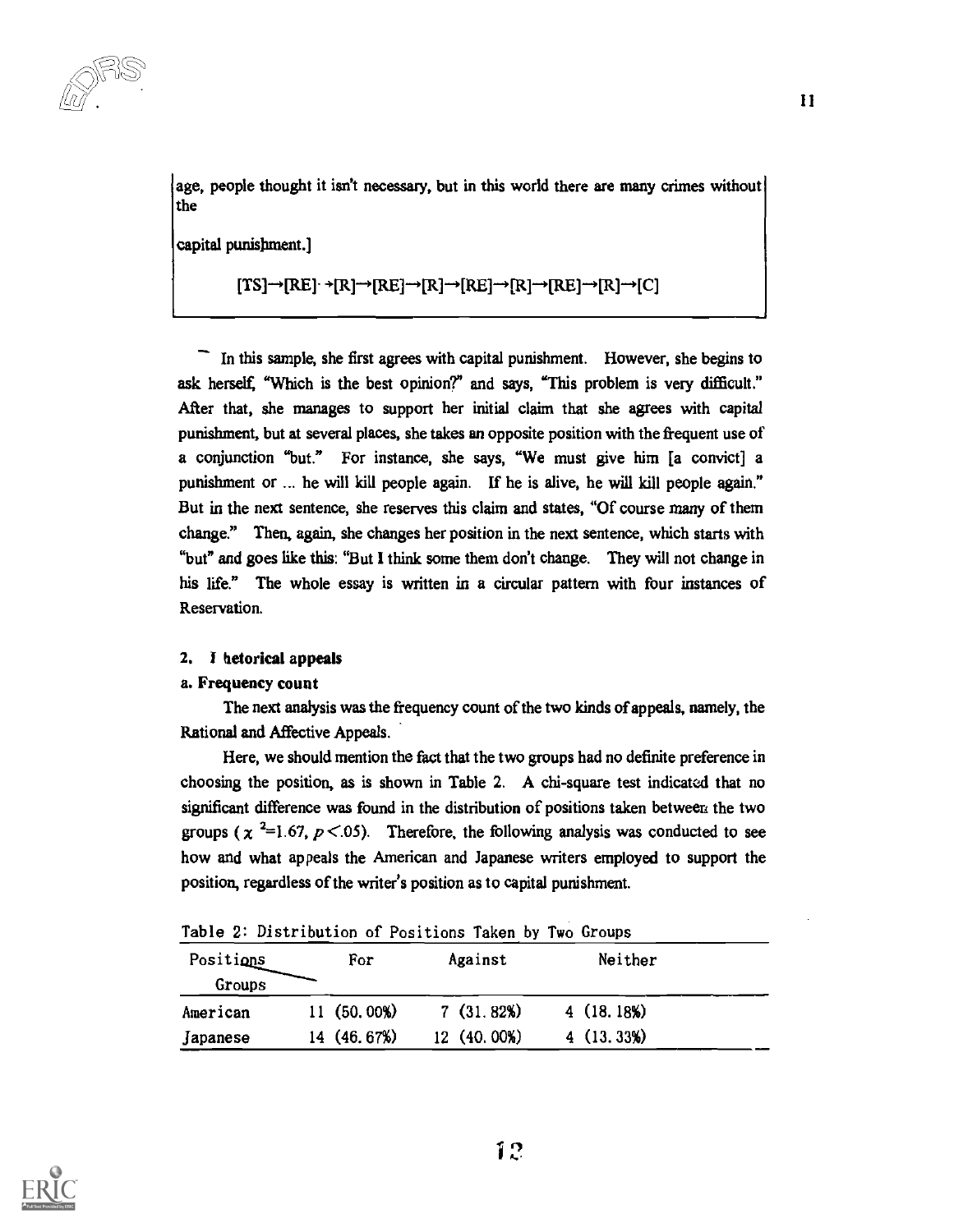age, people thought it isn't necessary, but in this world there are many crimes without the

capital punishment.]

$$
[\text{TS}] \rightarrow [\text{RE}] \rightarrow [\text{R}] \rightarrow [\text{RE}] \rightarrow [\text{R}] \rightarrow [\text{RE}] \rightarrow [\text{R}] \rightarrow [\text{RE}] \rightarrow [\text{R}] \rightarrow [\text{C}]
$$

In this sample, she first agrees with capital punishment. However, she begins to ask herself. "Which is the best opinion?" and says, "This problem is very difficult." After that, she manages to support her initial claim that she agrees with capital punishment, but at several places, she takes an opposite position with the frequent use of a conjunction "but." For instance, she says, "We must give him [a convict] a punishment or ... he will kill people again. If he is alive, he will kill people again." But in the next sentence, she reserves this claim and states, "Of course many of them change." Then, again, she changes her position in the next sentence, which starts with "but" and goes like this: "But I think some them don't change. They will not change in his life." The whole essay is written in a circular pattern with four instances of Reservation.

#### 2. 1 hetorical appeals

#### a. Frequency count

The next analysis was the frequency count of the two kinds of appeals, namely, the Rational and Affective Appeals.

Here, we should mention the fact that the two groups had no definite preference in choosing the position, as is shown in Table 2. A chi-square test indicated that no significant difference was found in the distribution of positions taken between the two groups ( $\chi$ <sup>2</sup>=1.67, p <.05). Therefore, the following analysis was conducted to see how and what appeals the American and Japanese writers employed to support the position, regardless of the writer's position as to capital punishment.

Table 2: Distribution of Positions Taken by Two Groups

| Positions | For          | Against      | Neither    |  |
|-----------|--------------|--------------|------------|--|
| Groups    |              |              |            |  |
| American  | 11 (50, 00%) | 7(31.82%)    | 4(18, 18%) |  |
| Japanese  | 14 (46.67%)  | 12 (40, 00%) | 4(13, 33%) |  |

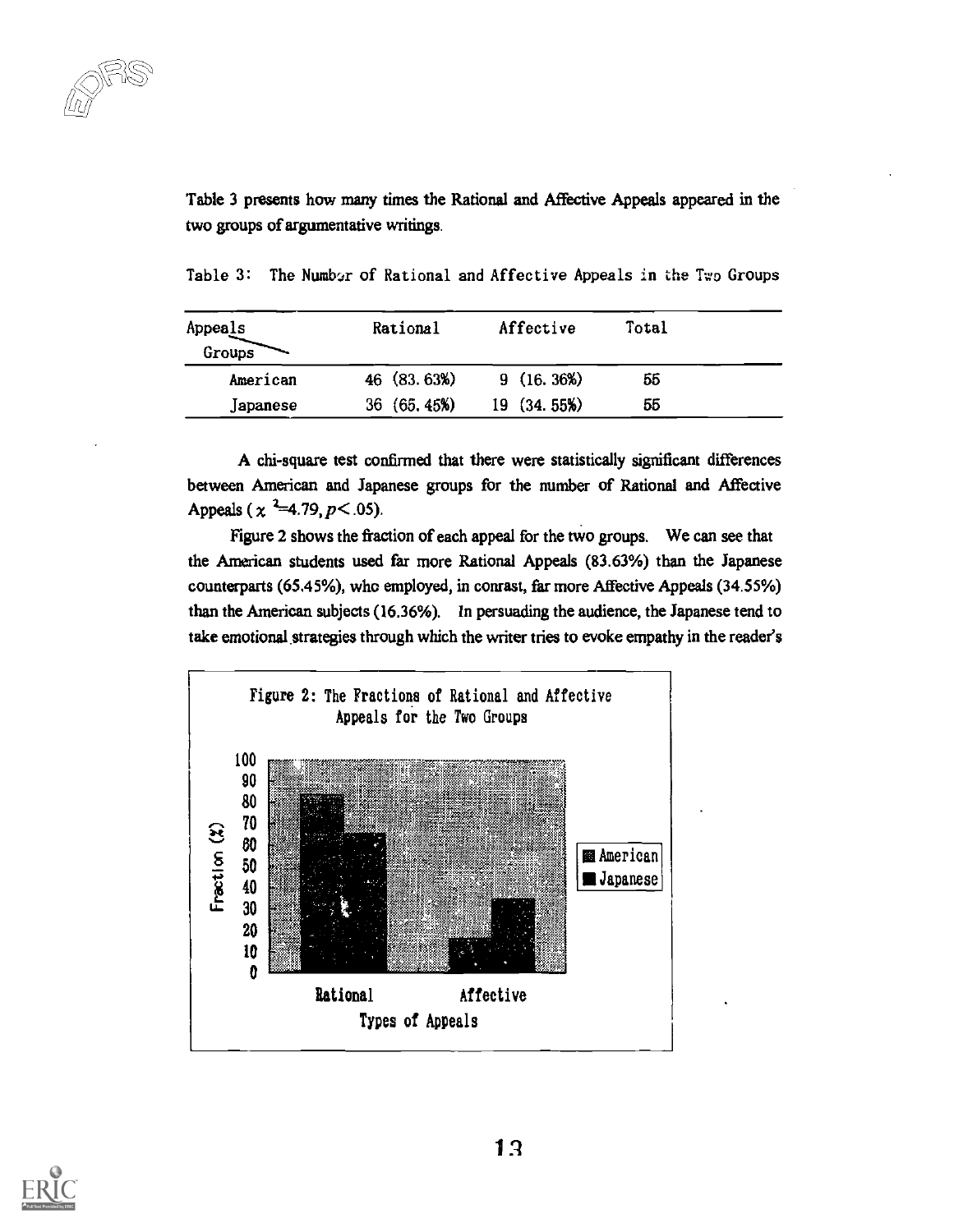Table 3 presents how many times the Rational and Affective Appeals appeared in the two groups of argumentative writings.

| Appeals<br>Groups | Rational    | Affective  | Total |  |
|-------------------|-------------|------------|-------|--|
| American          | 46 (83.63%) | 9(16, 36%) | 55    |  |
| Japanese          | 36(65, 45%) | 19(34.55%) | 55    |  |

Table 3: The Number of Rational and Affective Appeals in the Two Groups

A chi-square test confirmed that there were statistically significant differences between American and Japanese groups for the number of Rational and Affective Appeals ( $\chi$  <sup>2</sup>=4.79, *p* < .05).

Figure 2 shows the fraction of each appeal for the two groups. We can see that the American students used far more Rational Appeals (83.63%) than the Japanese counterparts (65.45%), who employed, in conrast, far more Affective Appeals (34.55%) than the American subjects (16.36%). In persuading the audience, the Japanese tend to take emotional strategies through which the writer tries to evoke empathy in the reader's



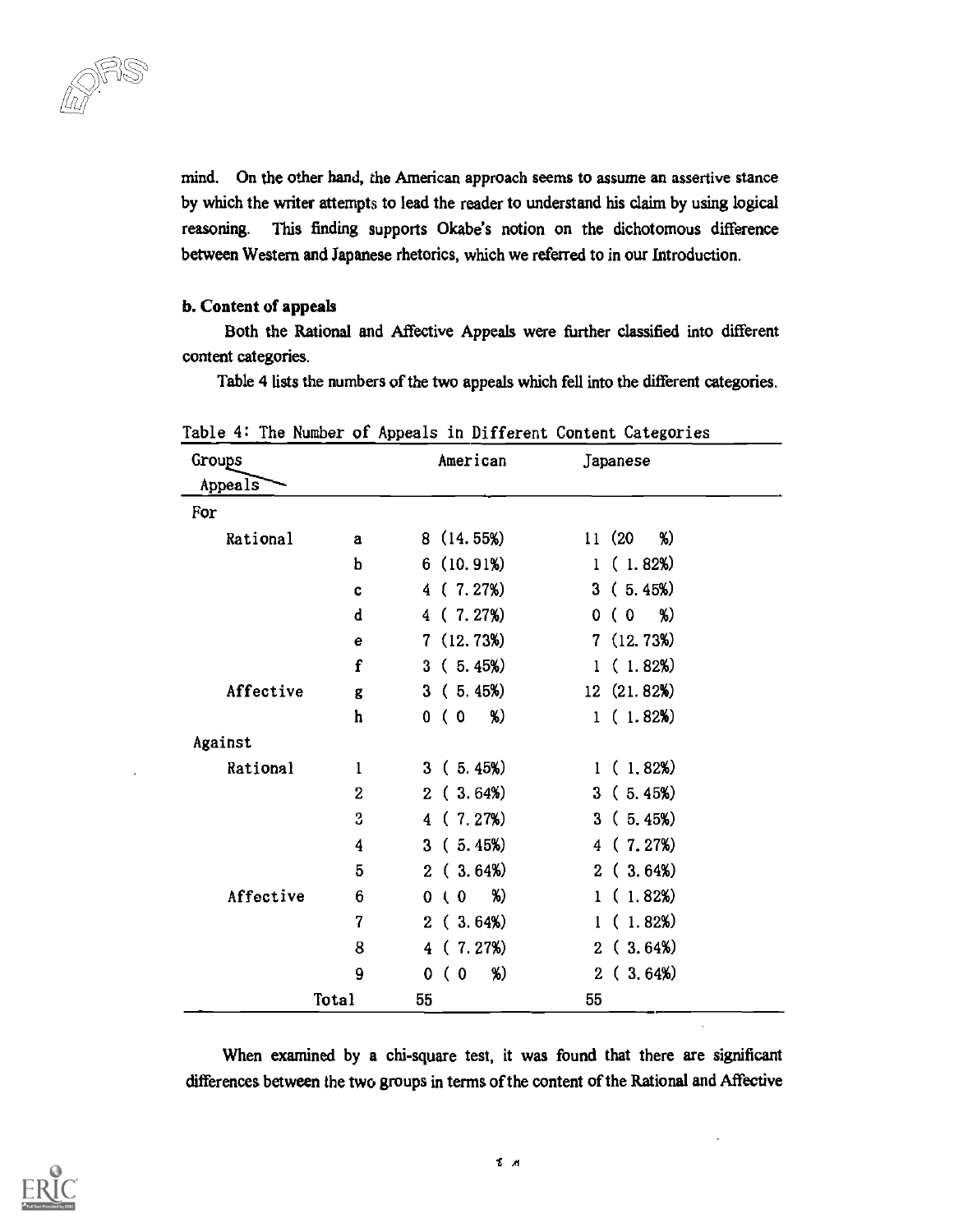mind. On the other hand, the American approach seems to assume an assertive stance by which the writer attempts to lead the reader to understand his claim by using logical reasoning. This finding supports Okabe's notion on the dichotomous difference between Western and Japanese rhetorics, which we referred to in our Introduction.

#### b. Content of appeals

Both the Rational and Affective Appeals were further classified into different content categories.

Table 4 lists the numbers of the two appeals which fell into the different categories.

| Groups<br>Appeals |                 | American                 | Japanese                |  |
|-------------------|-----------------|--------------------------|-------------------------|--|
| For               |                 |                          |                         |  |
| Rational          | a               | 8(14.55%)                | %)<br>11 (20            |  |
|                   | b               | 6(10.91%)                | (1.82%)<br>$\mathbf{1}$ |  |
|                   | $\mathbf c$     | 4(7.27%)                 | 3(5.45%)                |  |
|                   | $\mathbf d$     | (7.27%)<br>4.            | %)<br>(0)<br>0          |  |
|                   | e               | 7(12.73%)                | 7(12.73%)               |  |
|                   | $\mathbf f$     | 3(5.45%)                 | (1.82%)<br>$\mathbf{1}$ |  |
| Affective         | g               | 3(5.45%)                 | 12 (21.82%)             |  |
|                   | h               | %)<br>( 0<br>0           | 1(1.82%)                |  |
| Against           |                 |                          |                         |  |
| Rational          | 1               | 3(5.45%)                 | 1(1.82%)                |  |
|                   | $\overline{2}$  | 2(3.64%)                 | 3(5.45%)                |  |
|                   | 3               | 4(7.27%)                 | 3(5.45%)                |  |
|                   | 4               | 3(5.45%)                 | (7.27%)<br>4            |  |
|                   | 5               | 2(3.64%)                 | 2(3.64%)                |  |
| Affective         | $6\phantom{1}6$ | %)<br>$\sqrt{0}$<br>0    | 1(1.82%)                |  |
|                   | $\overline{7}$  | 2(3.64%)                 | (1.82%)<br>1            |  |
|                   | 8               | 4(7.27%)                 | 2(3.64%)                |  |
|                   | 9               | %)<br>0<br>€<br>$\bf{0}$ | 2(3.64%)                |  |
|                   | Total           | 55                       | 55                      |  |

Table 4: The Number of Appeals in Different Content Categories

When examined by a chi-square test, it was found that there are significant differences between the two groups in terms of the content of the Rational and Affective

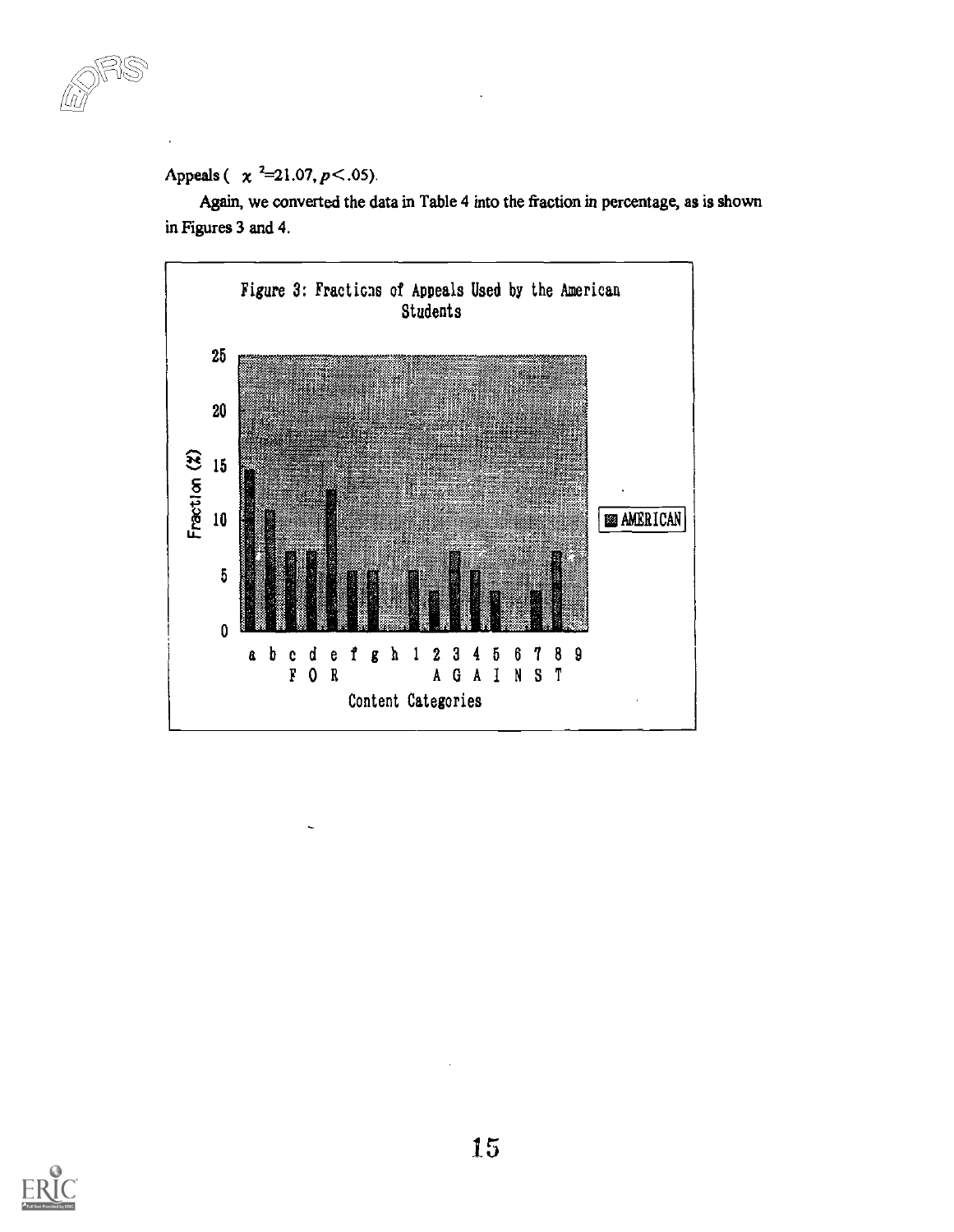$\lnot$  and  $\lnot$ 

## Appeals ( $\chi^2$ =21.07, *p* < .05).

Again, we converted the data in Table 4 into the fraction in percentage, as is shown in Figures 3 and 4.



![](_page_14_Picture_4.jpeg)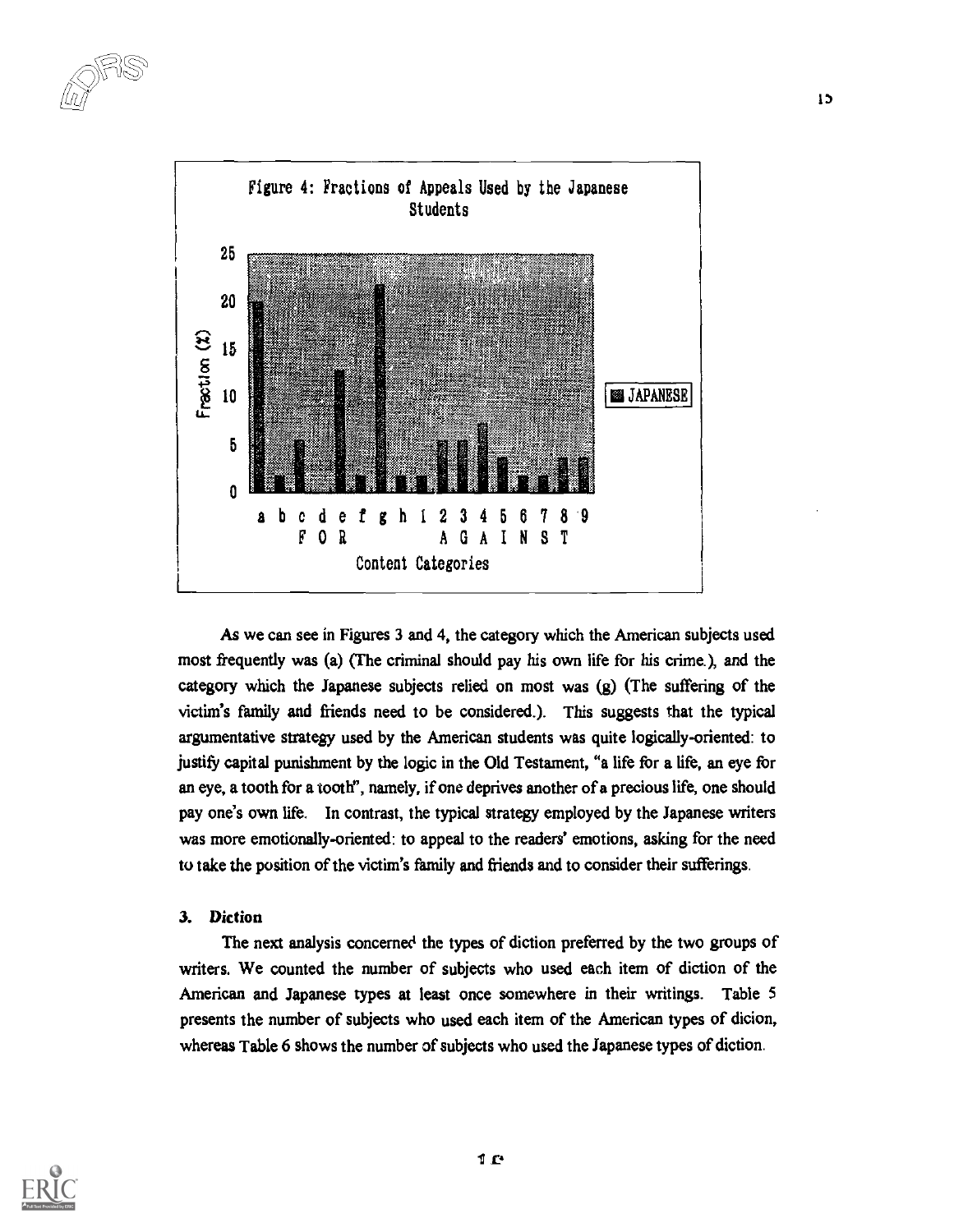![](_page_15_Figure_1.jpeg)

As we can see in Figures 3 and 4, the category which the American subjects used most frequently was (a) (The criminal should pay his own life for his crime.), and the category which the Japanese subjects relied on most was (g) (The suffering of the victim's family and friends need to be considered.). This suggests that the typical argumentative strategy used by the American students was quite logically-oriented: to justify capital punishment by the logic in the Old Testament, "a life for a life, an eye for an eye, a tooth for a tooth", namely, if one deprives another of a precious life, one should pay one's own life. In contrast, the typical strategy employed by the Japanese writers was more emotionally-oriented: to appeal to the readers' emotions, asking for the need to take the position of the victim's family and friends and to consider their sufferings.

## 3. Diction

The next analysis concerned the types of diction preferred by the two groups of writers. We counted the number of subjects who used each item of diction of the American and Japanese types at least once somewhere in their writings. Table 5 presents the number of subjects who used each item of the American types of dicion, whereas Table 6 shows the number of subjects who used the Japanese types of diction.

![](_page_15_Picture_5.jpeg)

1)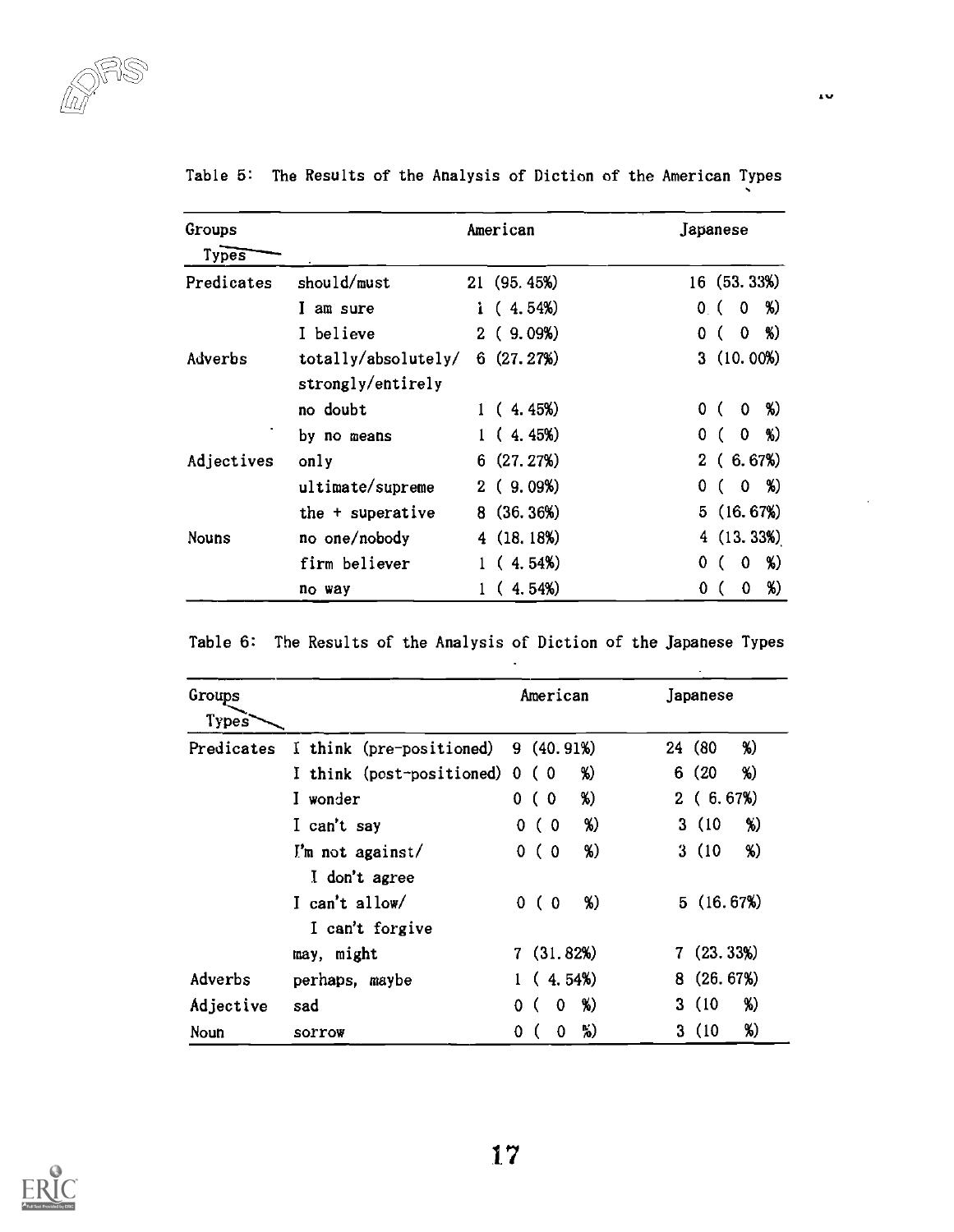| Groups<br>Types |                                          | American    | Japanese                              |
|-----------------|------------------------------------------|-------------|---------------------------------------|
| Predicates      | should/must                              | 21 (95.45%) | 16 (53.33%)                           |
|                 | I am sure                                | i $(4.54%)$ | %)<br>$\mathbf{0}$<br>0 (             |
|                 | I believe                                | 2(9.09%)    | %)<br>$\mathbf 0$<br>0 <sup>0</sup>   |
| Adverbs         | totally/absolutely/<br>strongly/entirely | 6(27.27%)   | 3(10.00%)                             |
|                 | no doubt                                 | 1(4.45%)    | - %)<br>0 <sup>0</sup><br>$\mathbf 0$ |
|                 | by no means                              | 1(4.45%)    | $0 \frac{8}{2}$<br>0(                 |
| Adjectives      | only                                     | 6(27.27%)   | 2(6.67%)                              |
|                 | ultimate/supreme                         | 2(9.09%)    | $0, $ %)<br>0.                        |
|                 | the + superative                         | 8(36.36%)   | 5(16.67%)                             |
| Nouns           | no one/nobody                            | 4(18.18%)   | 4(13.33%)                             |
|                 | firm believer                            | (4.54%)     | %)<br>0<br>0                          |
|                 | no way                                   | 1(4.54%)    | %)<br>0<br>0                          |

Table 5: The Results of the Analysis of Diction of the American Types

|  |  | Table 6: The Results of the Analysis of Diction of the Japanese Types |  |  |
|--|--|-----------------------------------------------------------------------|--|--|
|--|--|-----------------------------------------------------------------------|--|--|

 $\ddot{\phantom{a}}$ 

| Groups<br>Types |                                   | American               | Japanese      |
|-----------------|-----------------------------------|------------------------|---------------|
| Predicates      | I think (pre-positioned)          | 9(40.91%)              | %)<br>24 (80) |
|                 | I think (post-positioned) 0       | %)<br>(0)              | %)<br>6(20)   |
|                 | I wonder                          | %)<br>0(0)             | 2(6.67%)      |
|                 | I can't say                       | %)<br>0(0)             | 3(10)<br>%)   |
|                 | I'm not against/<br>I don't agree | %)<br>0 <sup>0</sup>   | 3(10)<br>%)   |
|                 | I can't allow/<br>I can't forgive | %)<br>0 <sup>0</sup>   | 5(16.67%)     |
|                 | may, might                        | 7(31.82%)              | 7(23.33%)     |
| Adverbs         | perhaps, maybe                    | 1(4.54%)               | 8(26.67%)     |
| Adjective       | sad                               | %)<br>$\mathbf 0$<br>0 | %)<br>3(10)   |
| Noun            | SOPTOW                            | %)<br>0<br>0           | %)<br>3(10)   |

![](_page_16_Picture_5.jpeg)

 $\ddot{\phantom{0}}$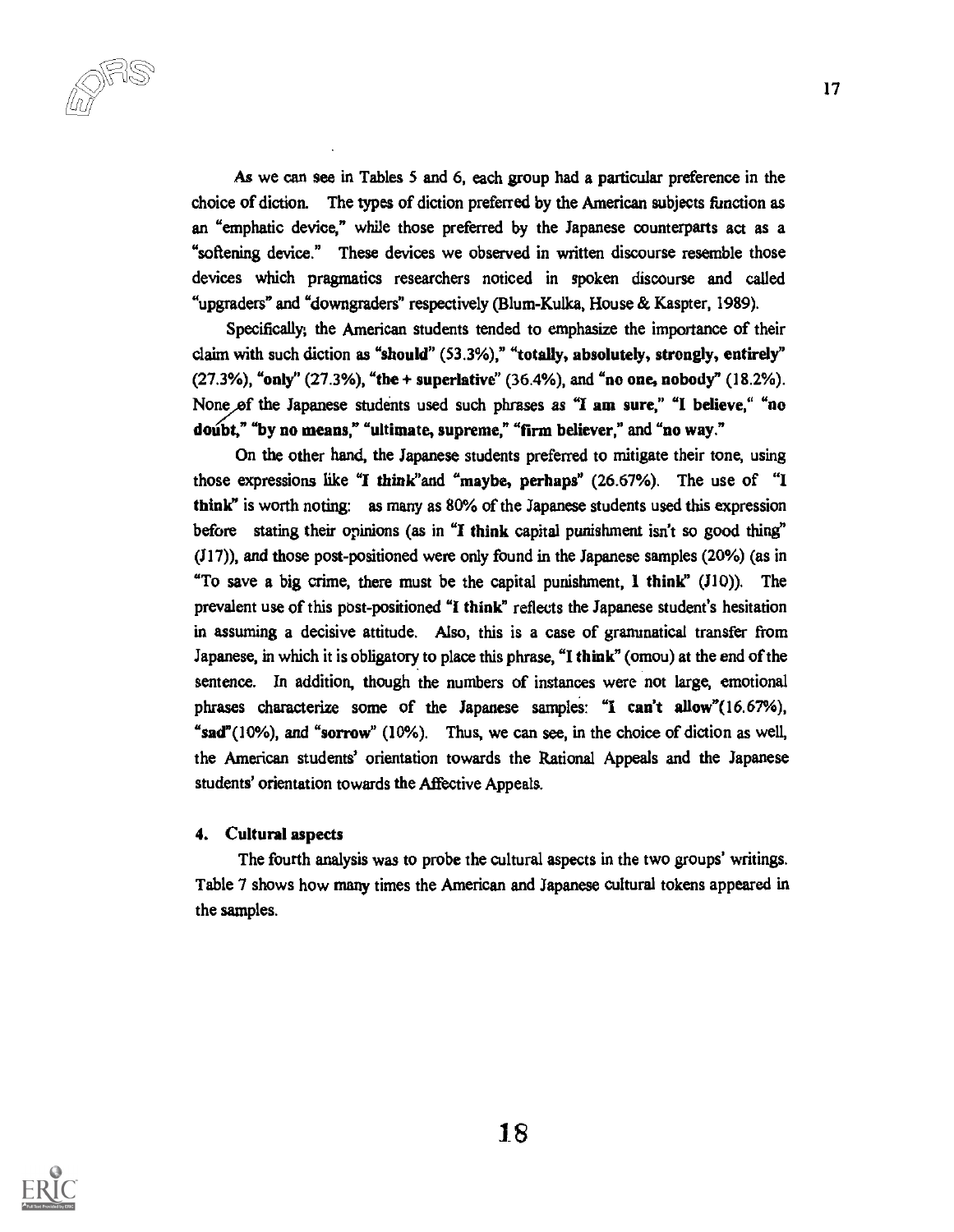As we can see in Tables 5 and 6, each group had a particular preference in the choice of diction. The types of diction preferred by the American subjects function as an "emphatic device," while those preferred by the Japanese counterparts act as a "softening device." These devices we observed in written discourse resemble those devices which pragmatics researchers noticed in spoken discourse and called "upgraders" and "downgraders" respectively (Blum-Kulka, House & Kaspter, 1989).

Specifically; the American students tended to emphasize the importance of their claim with such diction as "should" (53.3%)," "totally, absolutely, strongly, entirely" (27.3%), "only" (27.3%), "the + superlative" (36.4%), and "no one, nobody" (18.2%). None of the Japanese students used such phrases as "I am sure," "I believe," "no doubt," "by no means," "ultimate, supreme," "firm believer," and "no way."

On the other hand, the Japanese students preferred to mitigate their tone, using those expressions like "I think'and "maybe, perhaps" (26.67%). The use of "I think" is worth noting: as many as 80% of the Japanese students used this expression before stating their opinions (as in "I think capital punishment isn't so good thing" (J17)), and those post-positioned were only found in the Japanese samples (20%) (as in "To save a big crime, there must be the capital punishment, 1 think" (J10)). The prevalent use of this post-positioned "1 think" reflects the Japanese student's hesitation in assuming a decisive attitude. Also, this is a case of grammatical transfer from Japanese, in which it is obligatory to place this phrase, "I think" (omou) at the end of the sentence. In addition, though the numbers of instances were not large, emotional phrases characterize some of the Japanese samples: "I can't allow"(16.67%), "sad"(10%), and "sorrow" (10%). Thus, we can see, in the choice of diction as well, the American students' orientation towards the Rational Appeals and the Japanese students' orientation towards the Affective Appeals.

#### 4. Cultural aspects

The fourth analysis was to probe the cultural aspects in the two groups' writings. Table 7 shows how many times the American and Japanese cultural tokens appeared in the samples.

![](_page_17_Picture_6.jpeg)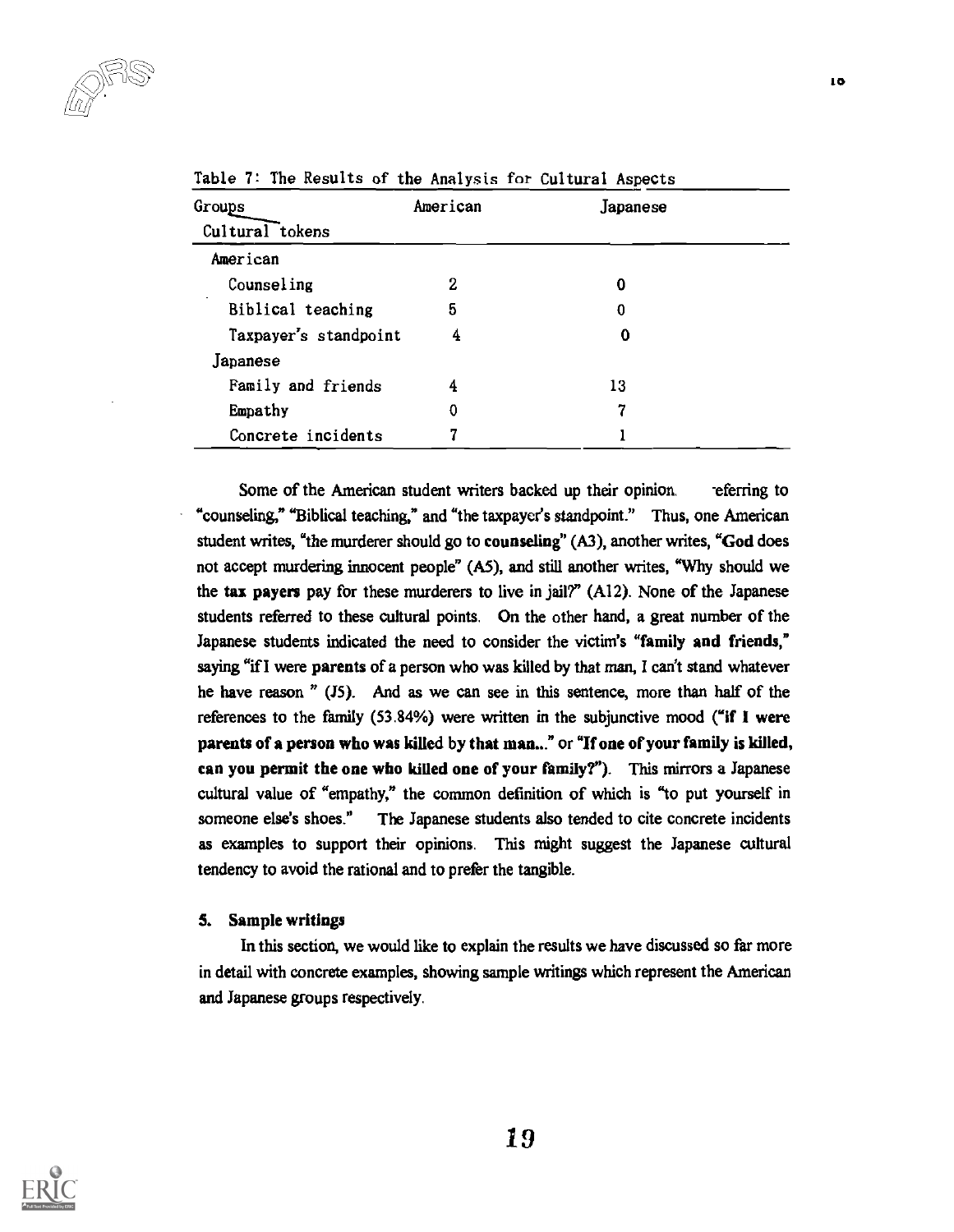| Groups                | American | Japanese |  |
|-----------------------|----------|----------|--|
| Cultural tokens       |          |          |  |
| American              |          |          |  |
| Counseling            | 2        | 0        |  |
| Biblical teaching     | 5        | 0        |  |
| Taxpayer's standpoint | 4        | 0        |  |
| Japanese              |          |          |  |
| Family and friends    | 4        | 13       |  |
| Empathy               | 0        | 7        |  |
| Concrete incidents    | 7        |          |  |

Table 7: The Results of the Analysis for Cultural Aspects

Some of the American student writers backed up their opinion. -eferring to "counseling," "Biblical teaching," and "the taxpayer's standpoint." Thus, one American student writes, "the murderer should go to counseling" (A3), another writes, "God does not accept murdering innocent people" (A5), and still another writes, "Why should we the tax payers pay for these murderers to live in jail?" (Al2). None of the Japanese students referred to these cultural points. On the other hand, a great number of the Japanese students indicated the need to consider the victim's "family and friends," saying "if I were parents of a person who was killed by that man, I can't stand whatever he have reason " (J5). And as we can see in this sentence, more than half of the references to the family (53.84%) were written in the subjunctive mood ("if I were parents of a person who was killed by that man..." or "If one of your family is killed, can you permit the one who killed one of your family?"). This mirrors a Japanese cultural value of "empathy," the common definition of which is "to put yourself in someone else's shoes." The Japanese students also tended to cite concrete incidents as examples to support their opinions. This might suggest the Japanese cultural tendency to avoid the rational and to prefer the tangible.

#### 5. Sample writings

In this section, we would like to explain the results we have discussed so far more in detail with concrete examples, showing sample writings which represent the American and Japanese groups respectively.

![](_page_18_Picture_6.jpeg)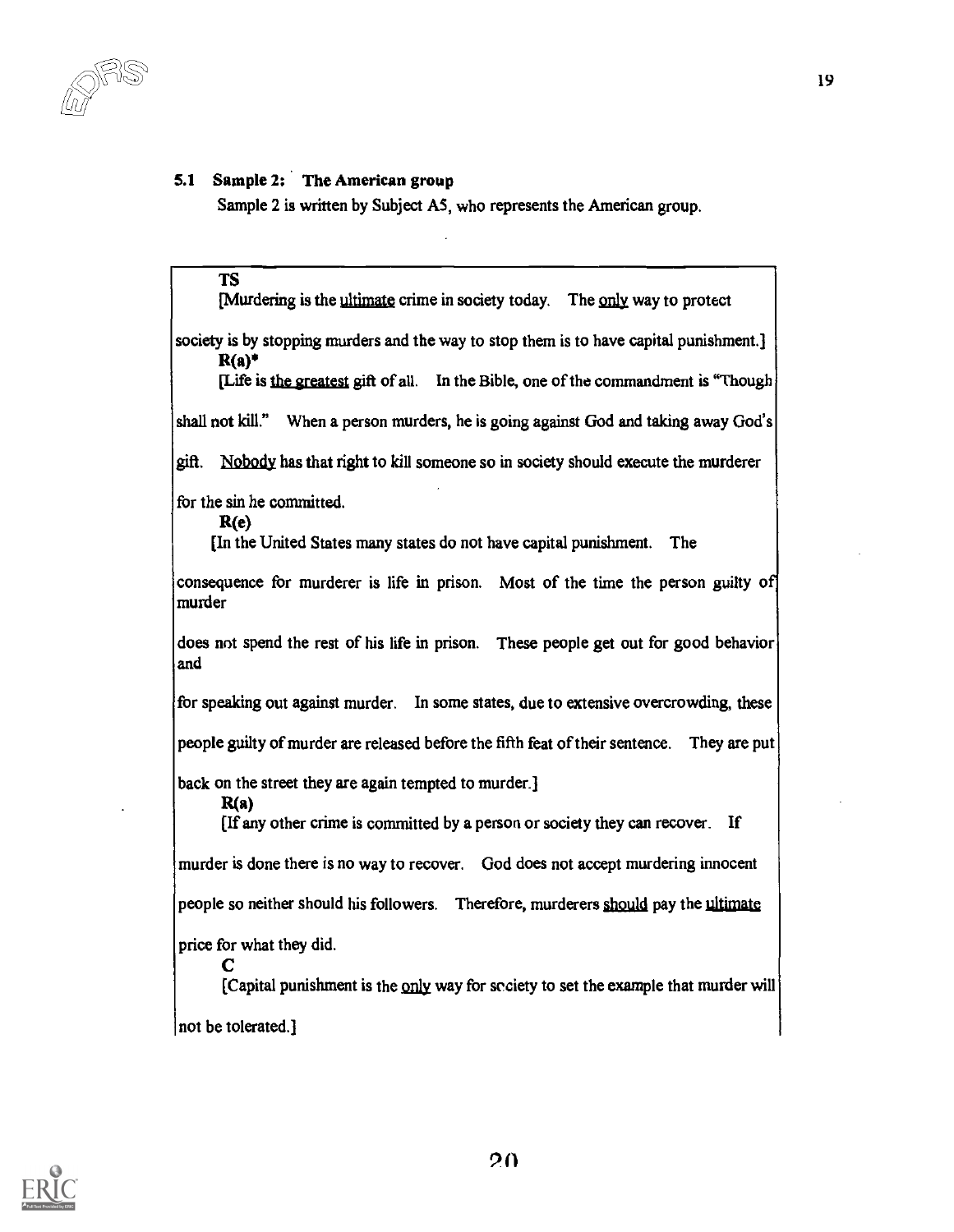## 5.1 Sample 2; The American group

Sample 2 is written by Subject A5, who represents the American group.

TS [Murdering is the ultimate crime in society today. The only way to protect society is by stopping murders and the way to stop them is to have capital punishment.]  $R(a)^*$ [Life is the greatest gift of all. In the Bible, one of the commandment is "Though shall not kill." When a person murders, he is going against God and taking away God's gift. Nobody has that right to kill someone so in society should execute the murderer for the sin he committed. R(e) [In the United States many states do not have capital punishment. The consequence for murderer is life in prison. Most of the time the person guilty of murder does not spend the rest of his life in prison. These people get out for good behavior and for speaking out against murder. In some states, due to extensive overcrowding, these people guilty of murder are released before the fifth feat of their sentence. They are put back on the street they are again tempted to murder.] R(a) [If any other crime is committed by a person or society they can recover. If murder is done there is no way to recover. God does not accept murdering innocent people so neither should his followers. Therefore, murderers should pay the ultimate price for what they did.  $\bf{C}$ [Capital punishment is the only way for society to set the example that murder will not be tolerated.]

![](_page_19_Picture_4.jpeg)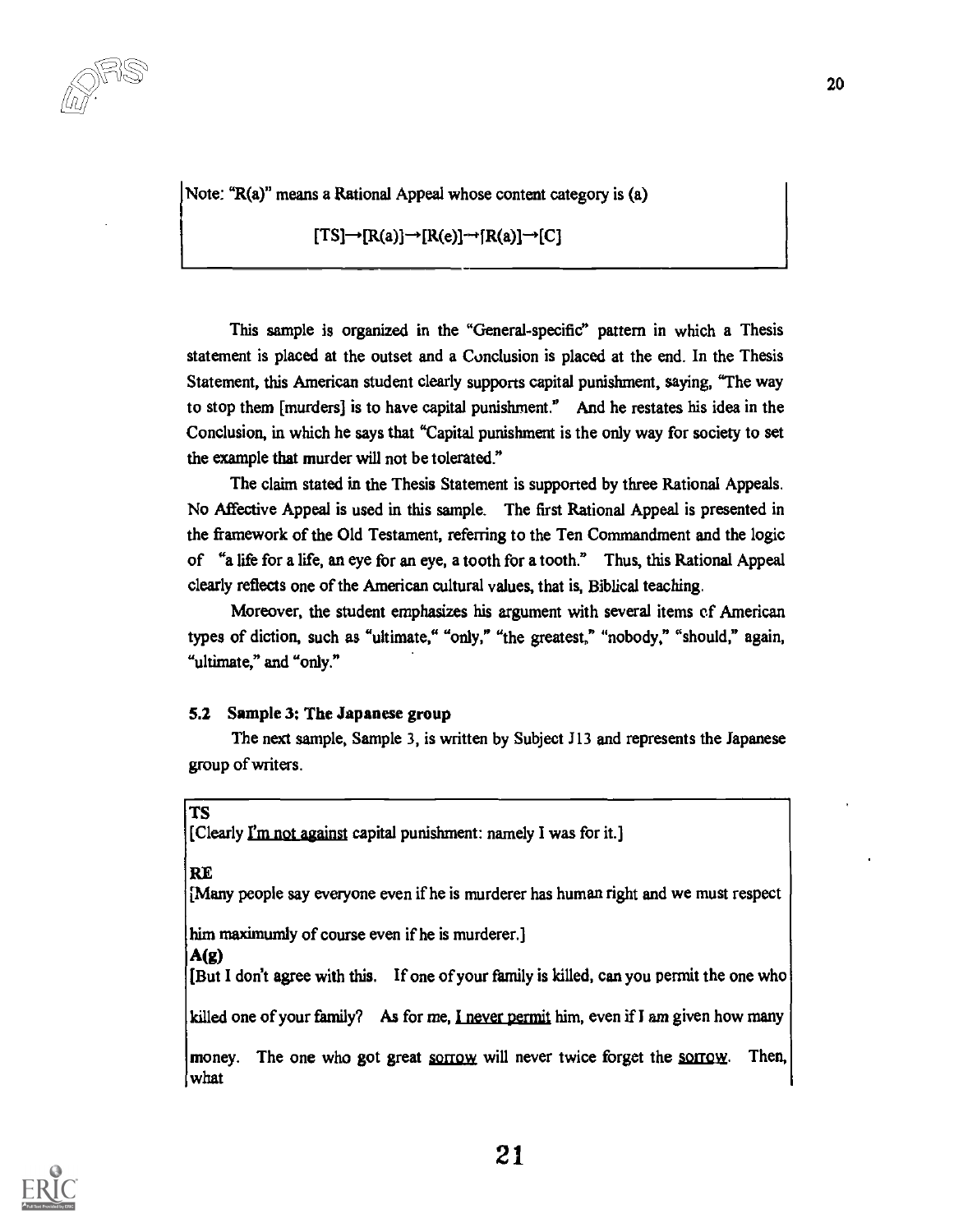Note: "R(a)" means a Rational Appeal whose content category is (a)

$$
[TS] \rightarrow [R(a)] \rightarrow [R(e)] \rightarrow [R(a)] \rightarrow [C]
$$

This sample is organized in the "General-specific" pattern in which a Thesis statement is placed at the outset and a Conclusion is placed at the end. In the Thesis Statement, this American student clearly supports capital punishment, saying, "The way to stop them [murders] is to have capital punishment." And he restates his idea in the Conclusion, in which he says that "Capital punishment is the only way for society to set the example that murder will not be tolerated."

The claim stated in the Thesis Statement is supported by three Rational Appeals. No Affective Appeal is used in this sample. The first Rational Appeal is presented in the framework of the Old Testament, referring to the Ten Commandment and the logic of "a life for a life, an eye for an eye, a tooth for a tooth." Thus, this Rational Appeal clearly reflects one of the American cultural values, that is, Biblical teaching.

Moreover, the student emphasizes his argument with several items of American types of diction, such as "ultimate," "only," "the greatest," "nobody," "should," again, "ultimate," and "only."

#### 5.2 Sample 3: The Japanese group

The next sample, Sample 3, is written by Subject 313 and represents the Japanese group of writers.

TS

[Clearly fin not against capital punishment: namely I was for it.]

#### RE

[Many people say everyone even if he is murderer has human right and we must respect

him maximumly of course even if he is murderer.]

#### A(g)

[But I don't agree with this. If one of your family is killed, can you permit the one who

killed one of your family? As for me, I never permit him, even if I am given how many

money. The one who got great sorrow will never twice forget the sorrow. Then, what

![](_page_20_Picture_16.jpeg)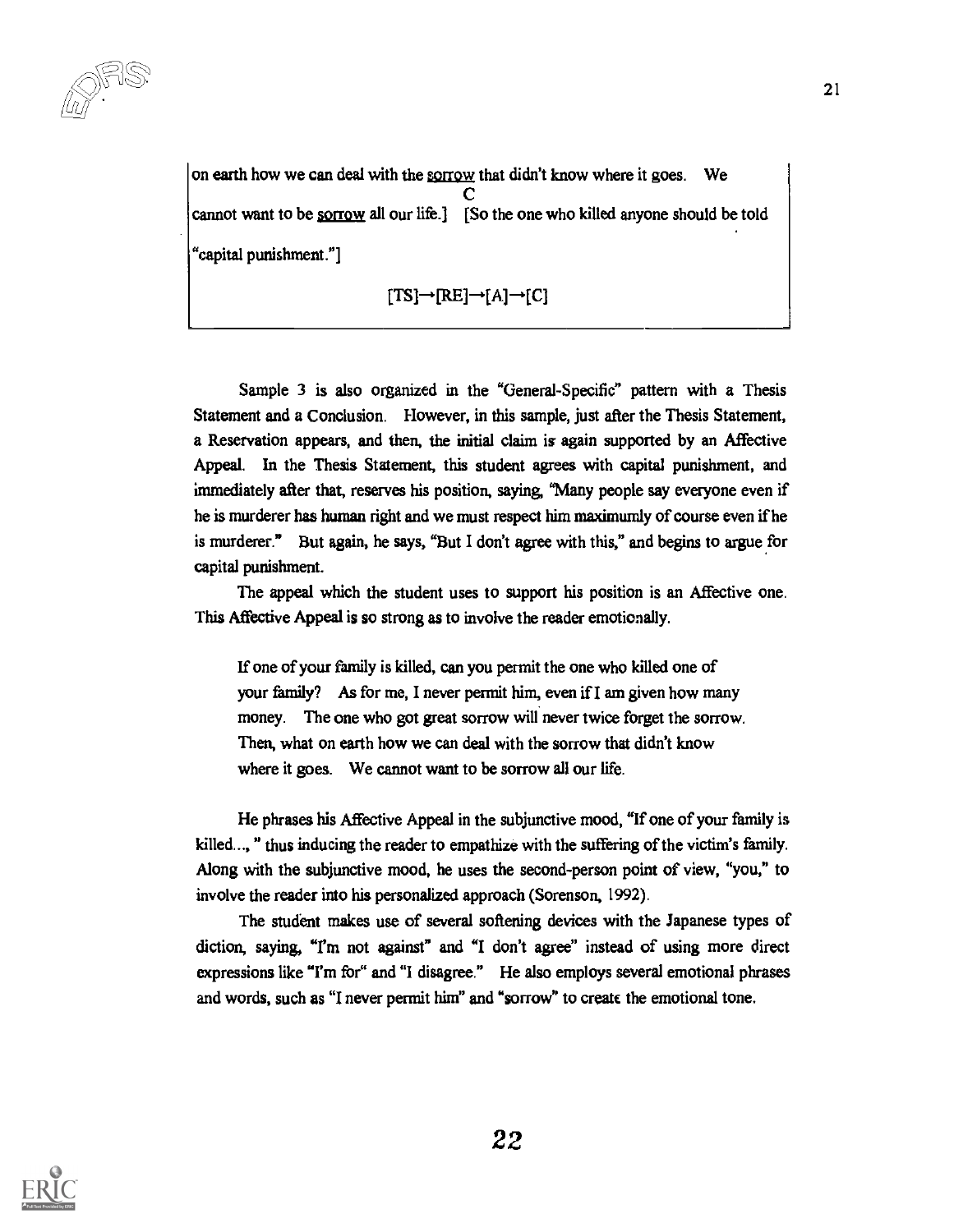on earth how we can deal with the sorrow that didn't know where it goes. We  $\bf{C}$  and  $\bf{C}$  and  $\bf{C}$ cannot want to be sorrow all our life.] [So the one who killed anyone should be told "capital punishment."]

$$
[\text{TS}] \rightarrow [\text{RE}] \rightarrow [A] \rightarrow [C]
$$

Sample 3 is also organized in the "General-Specific" pattern with a Thesis Statement and a Conclusion. However, in this sample, just after the Thesis Statement, a Reservation appears, and then, the initial claim is again supported by an Affective Appeal. In the Thesis Statement, this student agrees with capital punishment, and immediately after that, reserves his position, saying, "Many people say everyone even if he is murderer has human right and we must respect him maximumly of course even if he is murderer." But again, he says, "But I don't agree with this," and begins to argue for capital punishment.

The appeal which the student uses to support his position is an Affective one. This Affective Appeal is so strong as to involve the reader emotionally.

If one of your family is killed, can you permit the one who killed one of your family? As for me, I never permit him, even if I am given how many money. The one who got great sorrow will never twice forget the sorrow. Then, what on earth how we can deal with the sorrow that didn't know where it goes. We cannot want to be sorrow all our life.

He phrases his Affective Appeal in the subjunctive mood, "If one of your family is killed..., " thus inducing the reader to empathize with the suffering of the victim's family. Along with the subjunctive mood, he uses the second-person point of view, "you," to involve the reader into his personalized approach (Sorenson, 1992).

The student makes use of several softening devices with the Japanese types of diction, saying, "I'm not against" and "I don't agree" instead of using more direct expressions like "I'm for" and "I disagree." He also employs several emotional phrases and words, such as "I never permit him" and "sorrow" to create the emotional tone.

![](_page_21_Picture_8.jpeg)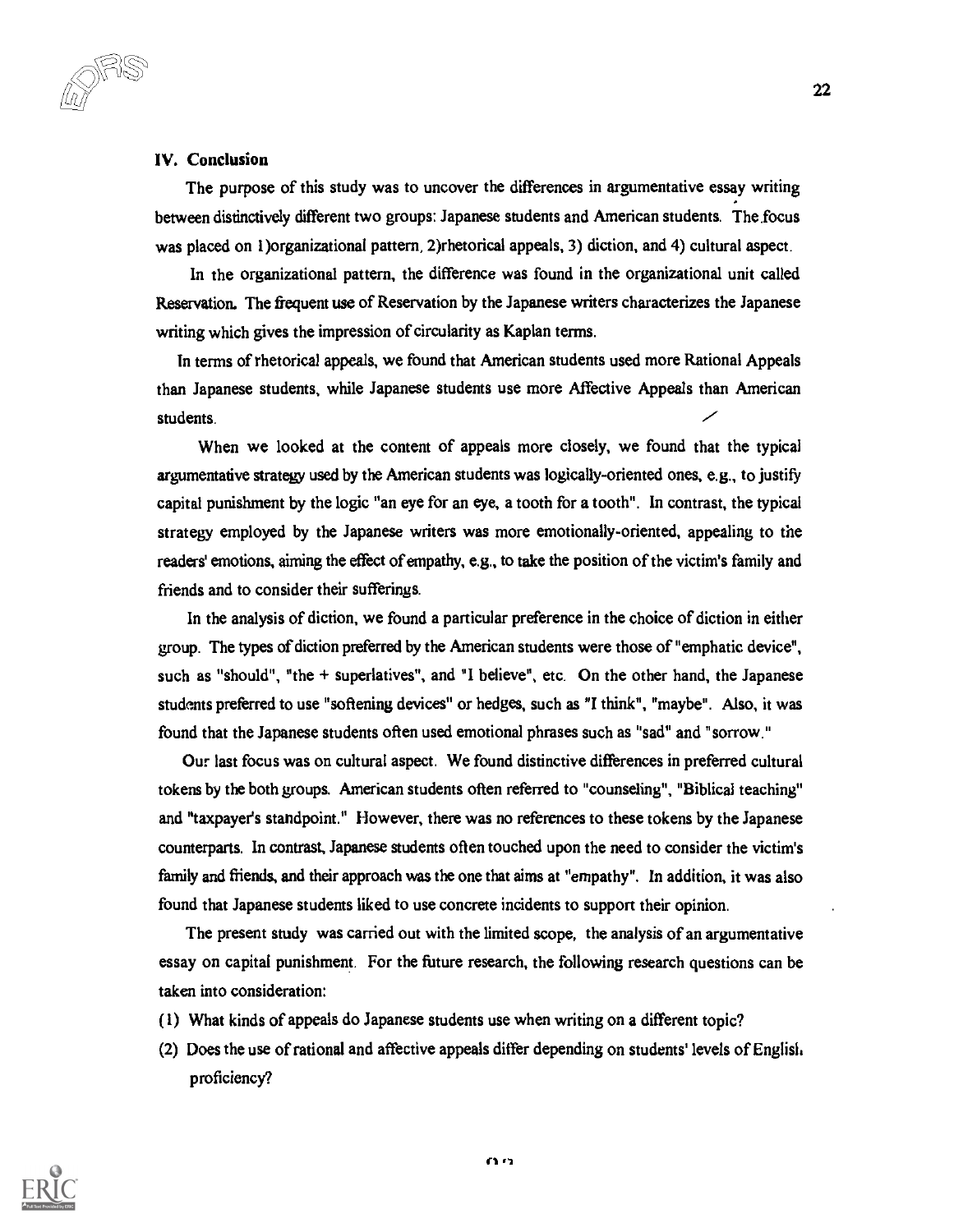IV. Conclusion

ur) -

The purpose of this study was to uncover the differences in argumentative essay writing between distinctively different two groups: Japanese students and American students. The focus was placed on 1)organizational pattern, 2)rhetorical appeals, 3) diction, and 4) cultural aspect.

In the organizational pattern, the difference was found in the organizational unit called Reservation. The frequent use of Reservation by the Japanese writers characterizes the Japanese writing which gives the impression of circularity as Kaplan terms.

In terms of rhetorical appeals, we found that American students used more Rational Appeals than Japanese students, while Japanese students use more Affective Appeals than American students.

When we looked at the content of appeals more closely, we found that the typical argumentative strategy used by the American students was logically-oriented ones, e.g., to justify capital punishment by the logic "an eye for an eye, a tooth for a tooth". In contrast, the typical strategy employed by the Japanese writers was more emotionally-oriented, appealing to the readers' emotions, aiming the effect of empathy, e.g., to take the position of the victim's family and friends and to consider their sufferings.

In the analysis of diction, we found a particular preference in the choice of diction in either group. The types of diction preferred by the American students were those of "emphatic device", such as "should", "the + superlatives", and "I believe", etc. On the other hand, the Japanese students preferred to use "softening devices" or hedges, such as "I think", "maybe". Also, it was found that the Japanese students often used emotional phrases such as "sad" and "sorrow."

Our last focus was on cultural aspect. We found distinctive differences in preferred cultural tokens by the both groups. American students often referred to "counseling", "Biblical teaching" and "taxpayer's standpoint." However, there was no references to these tokens by the Japanese counterparts. In contrast, Japanese students often touched upon the need to consider the victim's family and friends, and their approach was the one that aims at "empathy". In addition, it was also found that Japanese students liked to use concrete incidents to support their opinion.

The present study was carried out with the limited scope, the analysis of an argumentative essay on capital punishment. For the future research, the following research questions can be taken into consideration:

- (1) What kinds of appeals do Japanese students use when writing on a different topic?
- (2) Does the use of rational and affective appeals differ depending on students' levels of English proficiency?

![](_page_22_Picture_10.jpeg)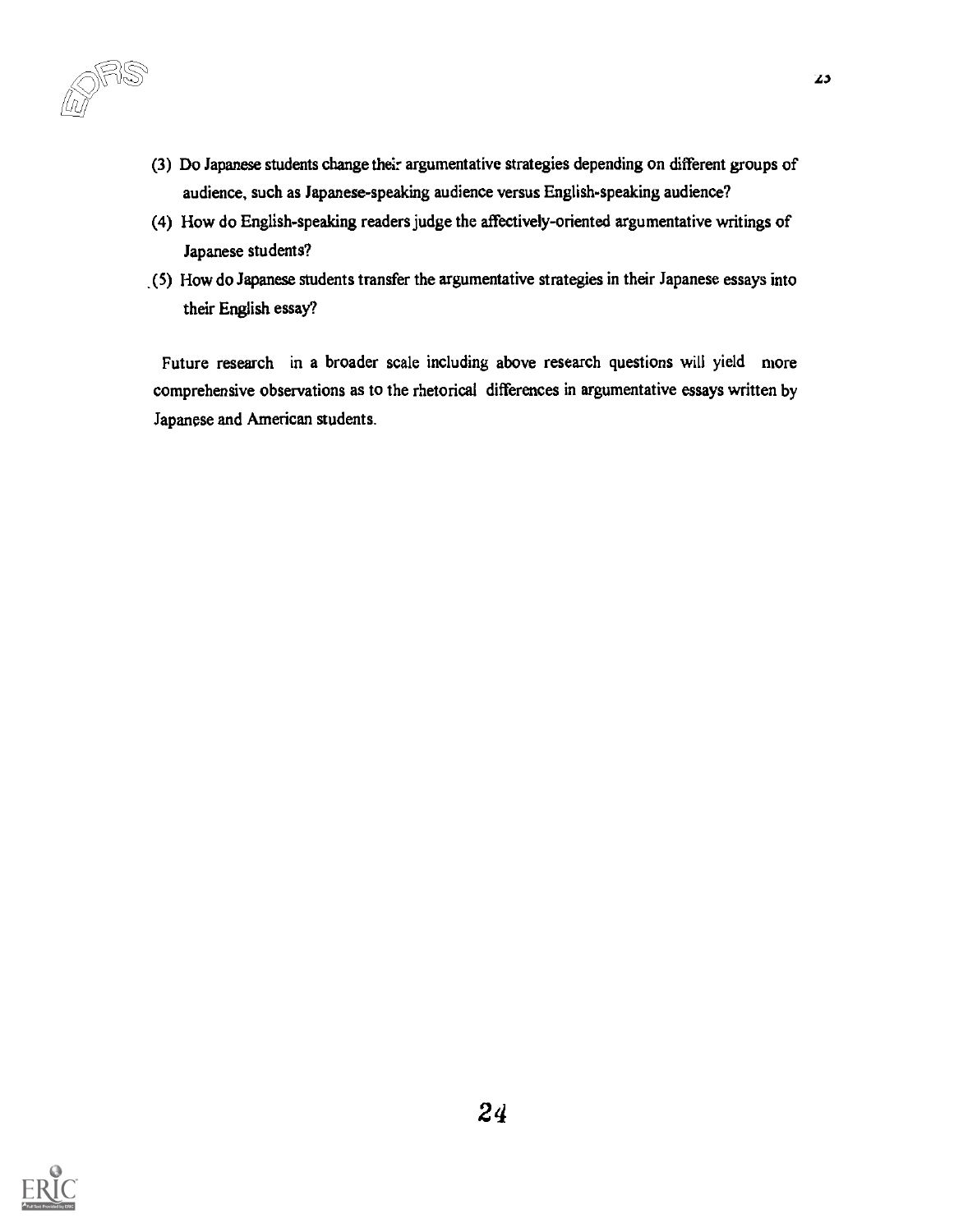- (3) Do Japanese students change their argumentative strategies depending on different groups of audience, such as Japanese-speaking audience versus English-speaking audience?
- (4) How do English-speaking readers judge the affectively-oriented argumentative writings of Japanese students?
- \_(5) How do Japanese students transfer the argumentative strategies in their Japanese essays into their English essay?

Future research in a broader scale including above research questions will yield more comprehensive observations as to the rhetorical differences in argumentative essays written by Japanese and American students.

![](_page_23_Picture_5.jpeg)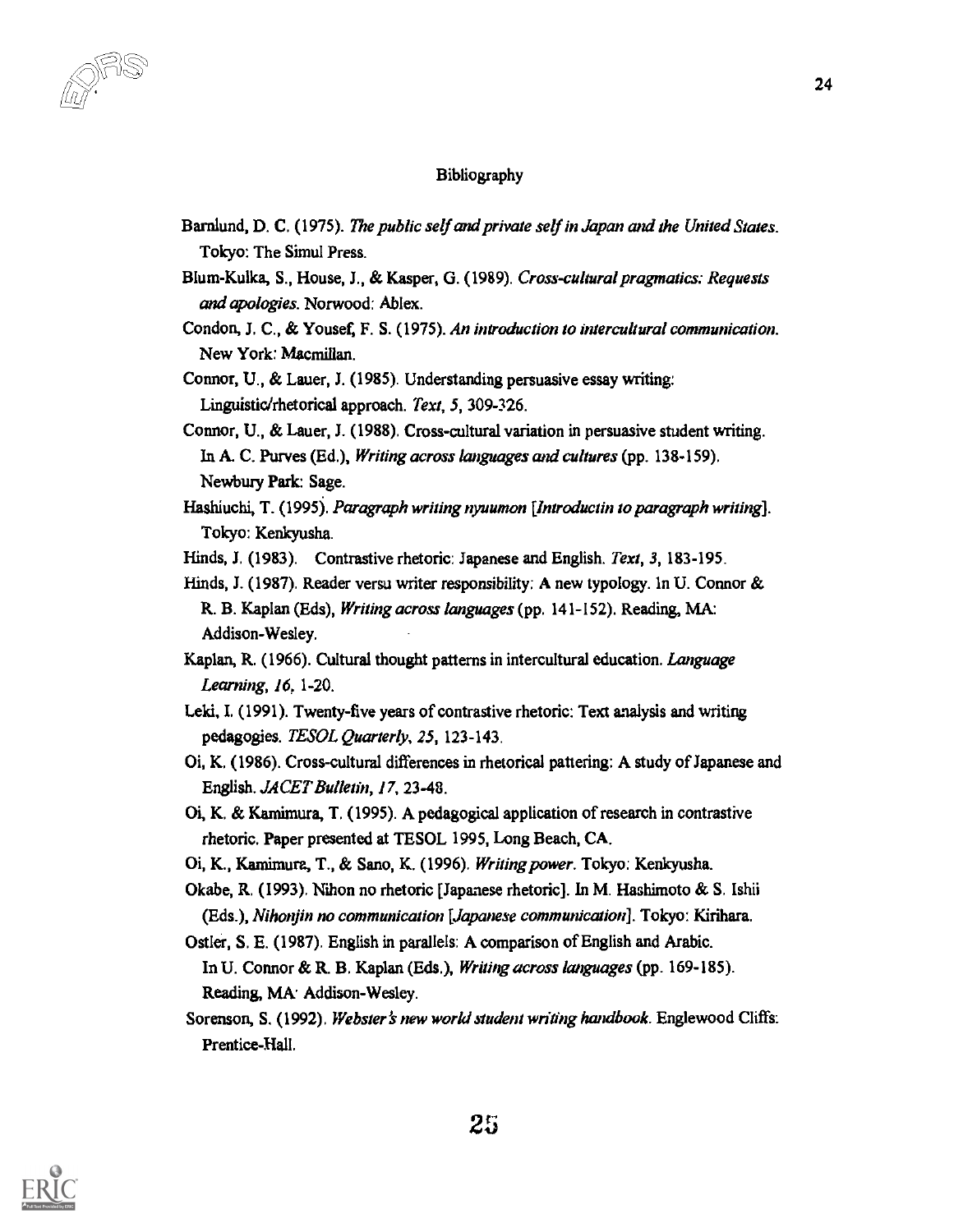#### Bibliography

- Barnlund, D. C. (1975). The public self and private self in Japan and the United States. Tokyo: The Simul Press.
- Blum-Kulka, S., House, J., & Kasper, G. (1989). Cross-cultural pragmatics: Requests and apologies. Norwood: Ablex.
- Condon, J. C., & Yousef, F. S. (1975). An introduction to intercultural communication. New York: Macmillan.
- Connor, U., & Lauer, J. (1985). Understanding persuasive essay writing: Linguistic/rhetorical approach. Text, 5, 309-326.
- Connor, U., & Lauer, J. (1988). Cross-cultural variation in persuasive student writing. In A. C. Purves (Ed.), Writing across languages and cultures (pp. 138-159). Newbury Park: Sage.
- Hashiuchi, T. (1995). Paragraph writing nyuumon [Introductin to paragraph writing]. Tokyo: Kenkyusha.
- Hinds, J. (1983). Contrastive rhetoric: Japanese and English. Text, 3, 183-195.
- Hinds, J. (1987). Reader versu writer responsibility: A new typology. In U. Connor & R. B. Kaplan (Eds), Writing across languages (pp. 141-152). Reading, MA: Addison-Wesley.
- Kaplan, R. (1966). Cultural thought patterns in intercultural education. Language Learning, 16, 1-20.
- Leki, I. (1991). Twenty-five years of contrastive rhetoric: Text analysis and writing pedagogies. TESOL Quarterly, 25, 123-143.
- Oi, K. (1986). Cross-cultural differences in rhetorical pattering: A study of Japanese and English. JACET Bulletin, 17, 23-48.
- Oi, K. & Kamimura, T. (1995). A pedagogical application of research in contrastive rhetoric. Paper presented at TESOL 1995, Long Beach, CA.
- Oi, K., Kamimura, T., & Sano, K. (1996). Writing power. Tokyo: Kenkyusha.
- Okabe, R. (1993). Nihon no rhetoric [Japanese rhetoric]. In M. Hashimoto & S. Ishii (Eds.), Nihonjin no communication [Japanese communication]. Tokyo: Kirihara.
- Ostler, S. E. (1987). English in parallels: A comparison of English and Arabic. In U. Connor & R. B. Kaplan (Eds.), Writing across languages (pp. 169-185). Reading, MA: Addison-Wesley.
- Sorenson, S. (1992). Webster's new world student writing handbook. Englewood Cliffs: Prentice-Hall.

![](_page_24_Picture_18.jpeg)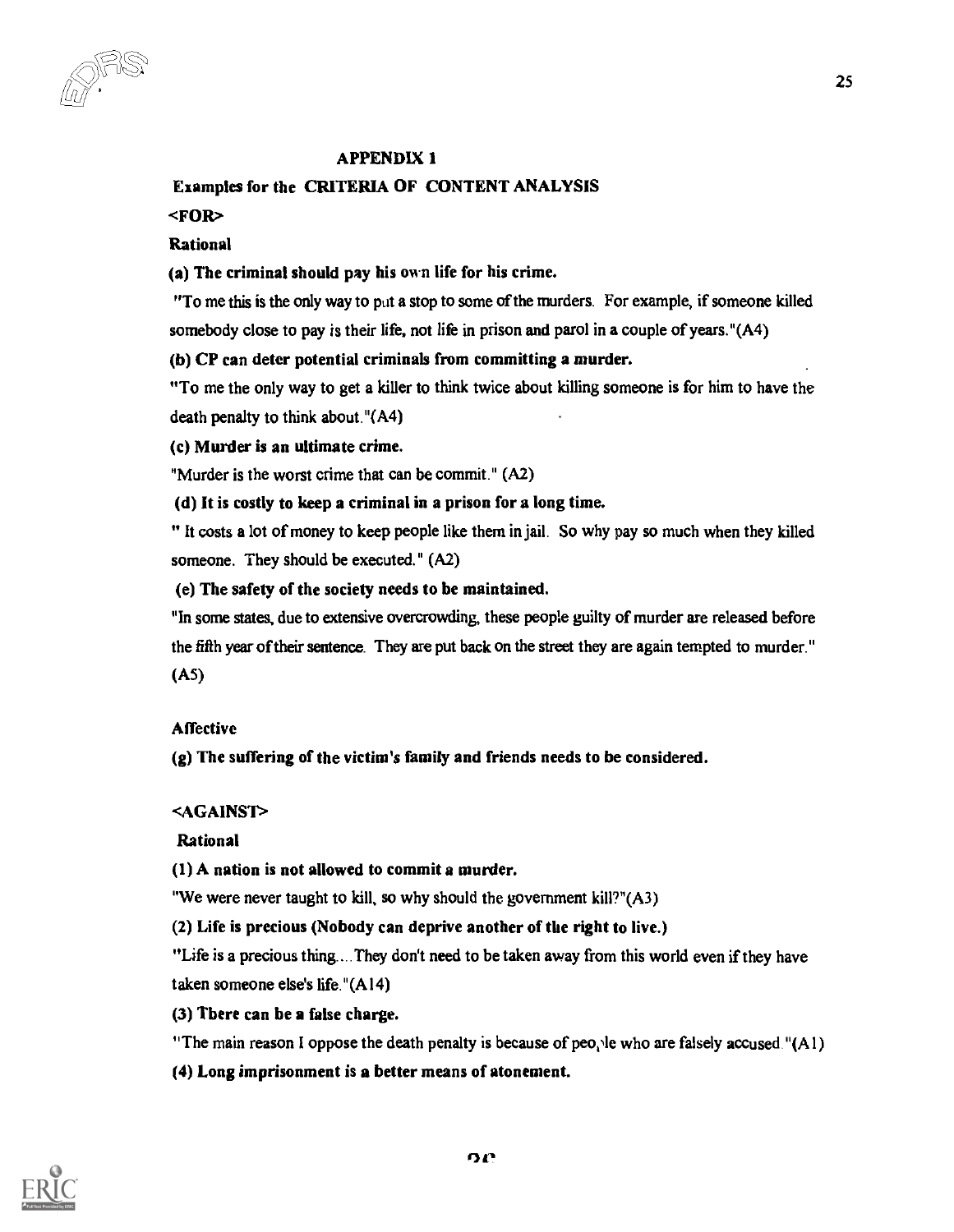## APPENDIX 1

## Examples for the CRITERIA OF CONTENT ANALYSIS

## <FOR>

## Rational

## (a) The criminal should pay his own life for his crime.

"To me this is the only way to put a stop to some of the murders. For example, if someone killed somebody close to pay is their life, not life in prison and parol in a couple of years."(A4)

## (b) CP can deter potential criminals from committing a murder.

"To me the only way to get a killer to think twice about killing someone is for him to have the death penalty to think about."(A4)

(c) Murder is an ultimate crime.

"Murder is the worst crime that can be commit." (A2)

(d) It is costly to keep a criminal in a prison for a long time.

" It costs a lot of money to keep people like them in jail. So why pay so much when they killed someone. They should be executed." (A2)

(e) The safety of the society needs to be maintained.

"In some states, due to extensive overcrowding, these people guilty of murder are released before the fifth year of their sentence. They are put back on the street they are again tempted to murder." (AS)

## **Affective**

(g) The suffering of the victim's family and friends needs to be considered.

## <AGAINST>

## Rational

(1) A nation is not allowed to commit a murder.

"We were never taught to kill, so why should the government kill?" $(A3)$ 

(2) Life is precious (Nobody can deprive another of the right to live.)

"Life is a precious thing.... They don't need to be taken away from this world even if they have taken someone else's life."(A14)

## (3) There can be a false charge.

"The main reason I oppose the death penalty is because of people who are falsely accused." $(A1)$ 

(4) Long imprisonment is a better means of atonement.

![](_page_25_Picture_26.jpeg)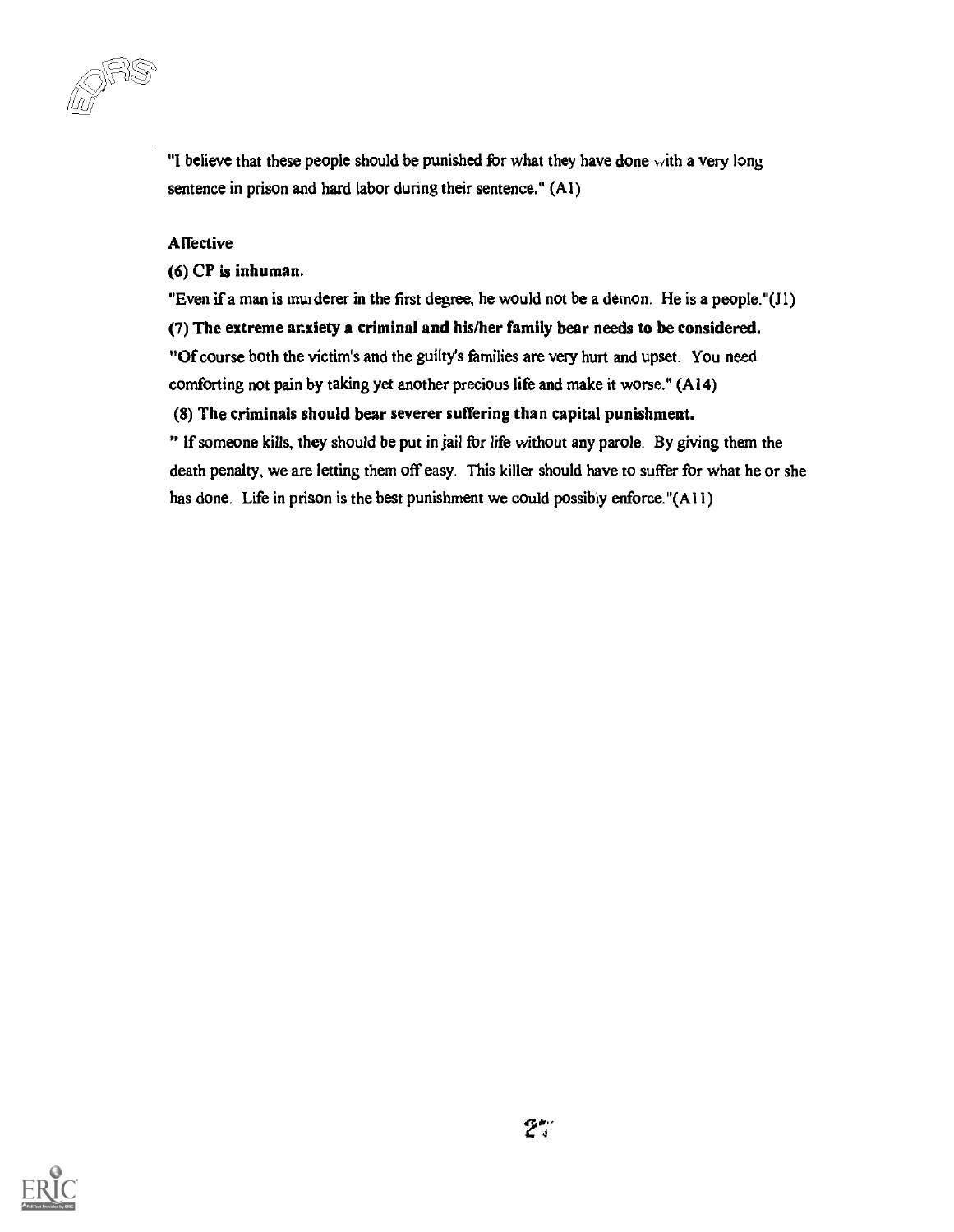uu

"I believe that these people should be punished for what they have done with a very long sentence in prison and hard labor during their sentence." (Al)

## Affective

(6) CP is inhuman.

"Even if a man is murderer in the first degree, he would not be a demon. He is a people."(J1)

## (7) The extreme anxiety a criminal and his/her family bear needs to be considered.

"Of course both the victim's and the guilty's families are very hurt and upset. You need

comforting not pain by taking yet another precious life and make it worse." (A14)

## (8) The criminals should bear severer suffering than capital punishment.

" If someone kills, they should be put in jail for life without any parole. By giving them the death penalty, we are letting them off easy. This killer should have to suffer for what he or she has done. Life in prison is the best punishment we could possibly enforce."(AII)

![](_page_26_Picture_10.jpeg)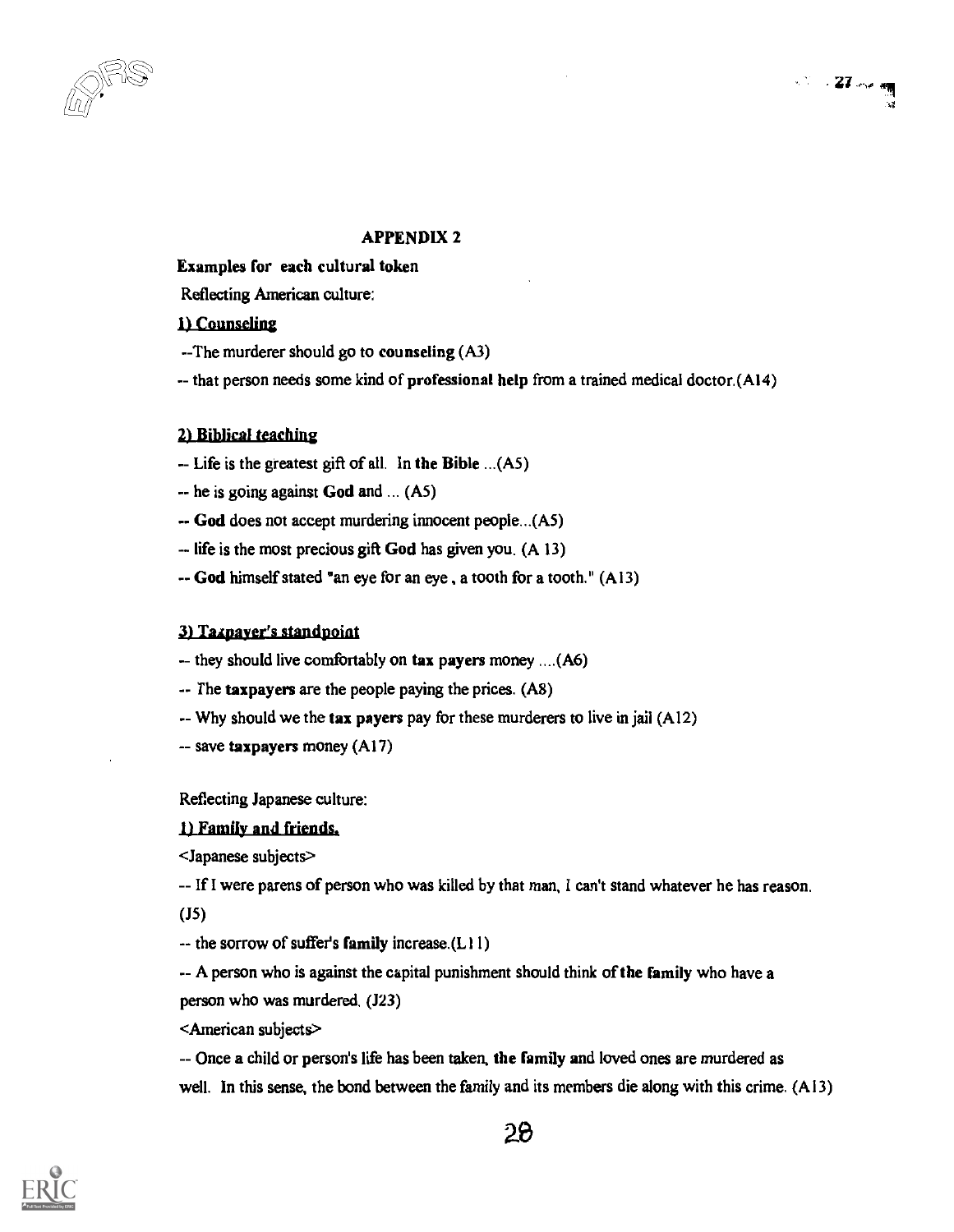## $\sim 27$  or  $\frac{1}{2}$ -44

## APPENDIX 2

Examples for each cultural token

Reflecting American culture:

## 1) Counseling

- --The murderer should go to counseling (A3)
- -- that person needs some kind of professional help from a trained medical doctor.(A14)

## 21 Biblical teaching

- -- Life is the greatest gift of all. In the Bible ...(A5)
- - he is going against God and ... (A5)
- -- God does not accept murdering innocent people...(A5)
- $-$  life is the most precious gift God has given you. (A 13)
- -- God himself stated "an eye for an eye , a tooth for a tooth." (A13)

#### 3) Taxpayer's standpoint

- -- they should live comfortably on tax payers money ....(A6)
- -- The taxpayers are the people paying the prices. (A8)
- $-$  Why should we the tax payers pay for these murderers to live in jail (Al2)
- -- save taxpayers money (A17)

Reflecting Japanese culture:

## I) Family and friends,

<Japanese subjects>

- - If I were parens of person who was killed by that man, I can't stand whatever he has reason.

(J5)

-- the sorrow of suffer's family increase.(L11)

-- A person who is against the capital punishment should think of the family who have a person who was murdered. (J23)

<American subjects>

-- Once a child or person's life has been taken, the family and loved ones are murdered as well. In this sense, the bond between the family and its members die along with this crime. (A13)

![](_page_27_Picture_28.jpeg)